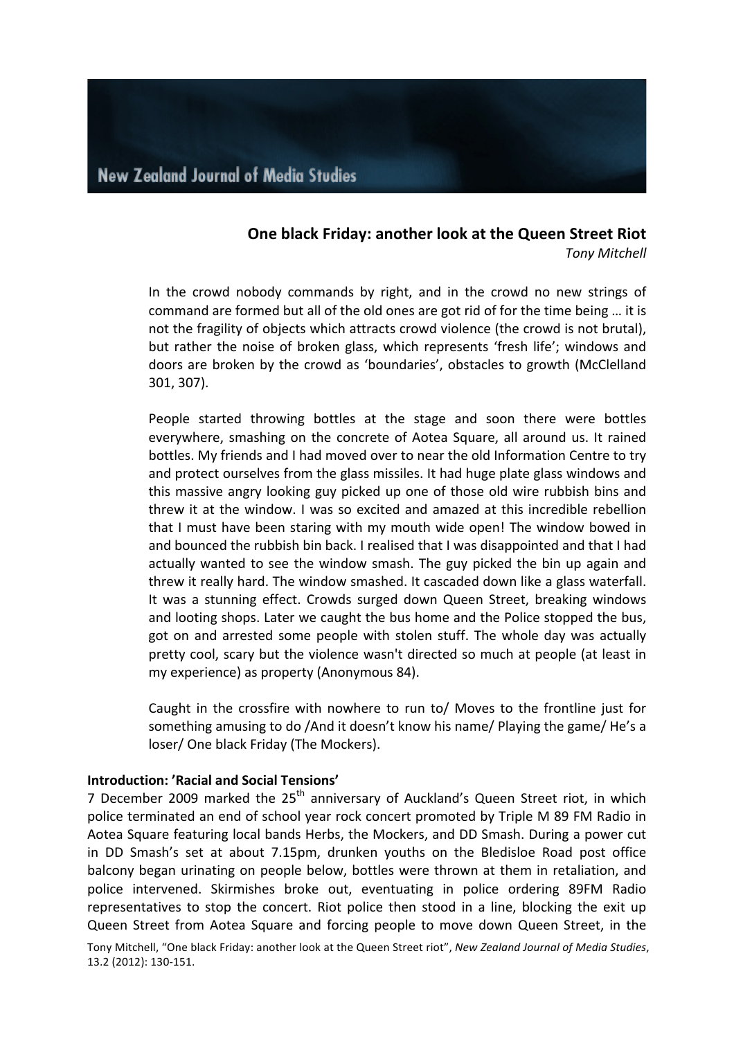# **One black Friday: another look at the Queen Street Riot**

*Tony Mitchell*

In the crowd nobody commands by right, and in the crowd no new strings of command are formed but all of the old ones are got rid of for the time being ... it is not the fragility of objects which attracts crowd violence (the crowd is not brutal), but rather the noise of broken glass, which represents 'fresh life'; windows and doors are broken by the crowd as 'boundaries', obstacles to growth (McClelland 301, 307). 

People started throwing bottles at the stage and soon there were bottles everywhere, smashing on the concrete of Aotea Square, all around us. It rained bottles. My friends and I had moved over to near the old Information Centre to try and protect ourselves from the glass missiles. It had huge plate glass windows and this massive angry looking guy picked up one of those old wire rubbish bins and threw it at the window. I was so excited and amazed at this incredible rebellion that I must have been staring with my mouth wide open! The window bowed in and bounced the rubbish bin back. I realised that I was disappointed and that I had actually wanted to see the window smash. The guy picked the bin up again and threw it really hard. The window smashed. It cascaded down like a glass waterfall. It was a stunning effect. Crowds surged down Queen Street, breaking windows and looting shops. Later we caught the bus home and the Police stopped the bus, got on and arrested some people with stolen stuff. The whole day was actually pretty cool, scary but the violence wasn't directed so much at people (at least in my experience) as property (Anonymous 84).

Caught in the crossfire with nowhere to run to/ Moves to the frontline just for something amusing to do /And it doesn't know his name/ Playing the game/ He's a loser/ One black Friday (The Mockers).

#### **Introduction: 'Racial and Social Tensions'**

7 December 2009 marked the  $25<sup>th</sup>$  anniversary of Auckland's Queen Street riot, in which police terminated an end of school year rock concert promoted by Triple M 89 FM Radio in Aotea Square featuring local bands Herbs, the Mockers, and DD Smash. During a power cut in DD Smash's set at about 7.15pm, drunken youths on the Bledisloe Road post office balcony began urinating on people below, bottles were thrown at them in retaliation, and police intervened. Skirmishes broke out, eventuating in police ordering 89FM Radio representatives to stop the concert. Riot police then stood in a line, blocking the exit up Queen Street from Aotea Square and forcing people to move down Queen Street, in the

Tony Mitchell, "One black Friday: another look at the Queen Street riot", *New Zealand Journal of Media Studies*, 13.2 (2012): 130-151.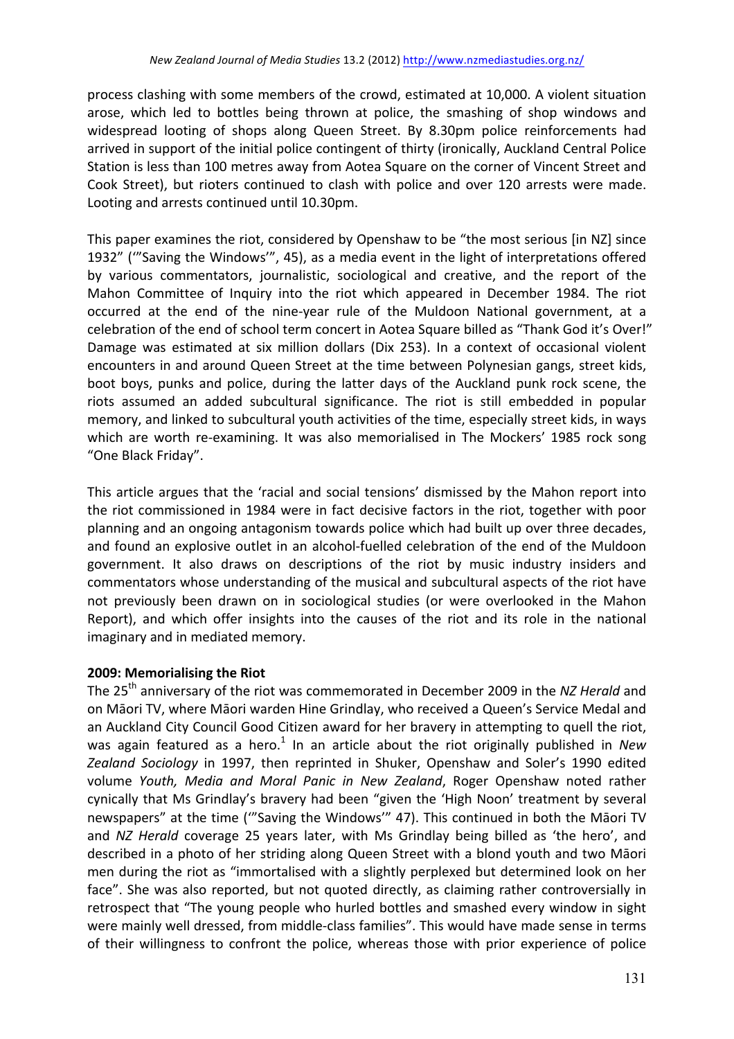process clashing with some members of the crowd, estimated at 10,000. A violent situation arose, which led to bottles being thrown at police, the smashing of shop windows and widespread looting of shops along Queen Street. By 8.30pm police reinforcements had arrived in support of the initial police contingent of thirty (ironically, Auckland Central Police Station is less than 100 metres away from Aotea Square on the corner of Vincent Street and Cook Street), but rioters continued to clash with police and over 120 arrests were made. Looting and arrests continued until 10.30pm.

This paper examines the riot, considered by Openshaw to be "the most serious [in NZ] since 1932" ("Saving the Windows", 45), as a media event in the light of interpretations offered by various commentators, journalistic, sociological and creative, and the report of the Mahon Committee of Inquiry into the riot which appeared in December 1984. The riot occurred at the end of the nine-year rule of the Muldoon National government, at a celebration of the end of school term concert in Aotea Square billed as "Thank God it's Over!" Damage was estimated at six million dollars (Dix 253). In a context of occasional violent encounters in and around Queen Street at the time between Polynesian gangs, street kids, boot boys, punks and police, during the latter days of the Auckland punk rock scene, the riots assumed an added subcultural significance. The riot is still embedded in popular memory, and linked to subcultural youth activities of the time, especially street kids, in ways which are worth re-examining. It was also memorialised in The Mockers' 1985 rock song "One Black Friday".

This article argues that the 'racial and social tensions' dismissed by the Mahon report into the riot commissioned in 1984 were in fact decisive factors in the riot, together with poor planning and an ongoing antagonism towards police which had built up over three decades, and found an explosive outlet in an alcohol-fuelled celebration of the end of the Muldoon government. It also draws on descriptions of the riot by music industry insiders and commentators whose understanding of the musical and subcultural aspects of the riot have not previously been drawn on in sociological studies (or were overlooked in the Mahon Report), and which offer insights into the causes of the riot and its role in the national imaginary and in mediated memory.

### **2009: Memorialising the Riot**

The 25<sup>th</sup> anniversary of the riot was commemorated in December 2009 in the NZ Herald and on Māori TV, where Māori warden Hine Grindlay, who received a Queen's Service Medal and an Auckland City Council Good Citizen award for her bravery in attempting to quell the riot, was again featured as a hero.<sup>1</sup> In an article about the riot originally published in *New* Zealand Sociology in 1997, then reprinted in Shuker, Openshaw and Soler's 1990 edited volume Youth, Media and Moral Panic in New Zealand, Roger Openshaw noted rather cynically that Ms Grindlay's bravery had been "given the 'High Noon' treatment by several newspapers" at the time ("'Saving the Windows'" 47). This continued in both the Māori TV and *NZ Herald* coverage 25 years later, with Ms Grindlay being billed as 'the hero', and described in a photo of her striding along Queen Street with a blond youth and two Māori men during the riot as "immortalised with a slightly perplexed but determined look on her face". She was also reported, but not quoted directly, as claiming rather controversially in retrospect that "The young people who hurled bottles and smashed every window in sight were mainly well dressed, from middle-class families". This would have made sense in terms of their willingness to confront the police, whereas those with prior experience of police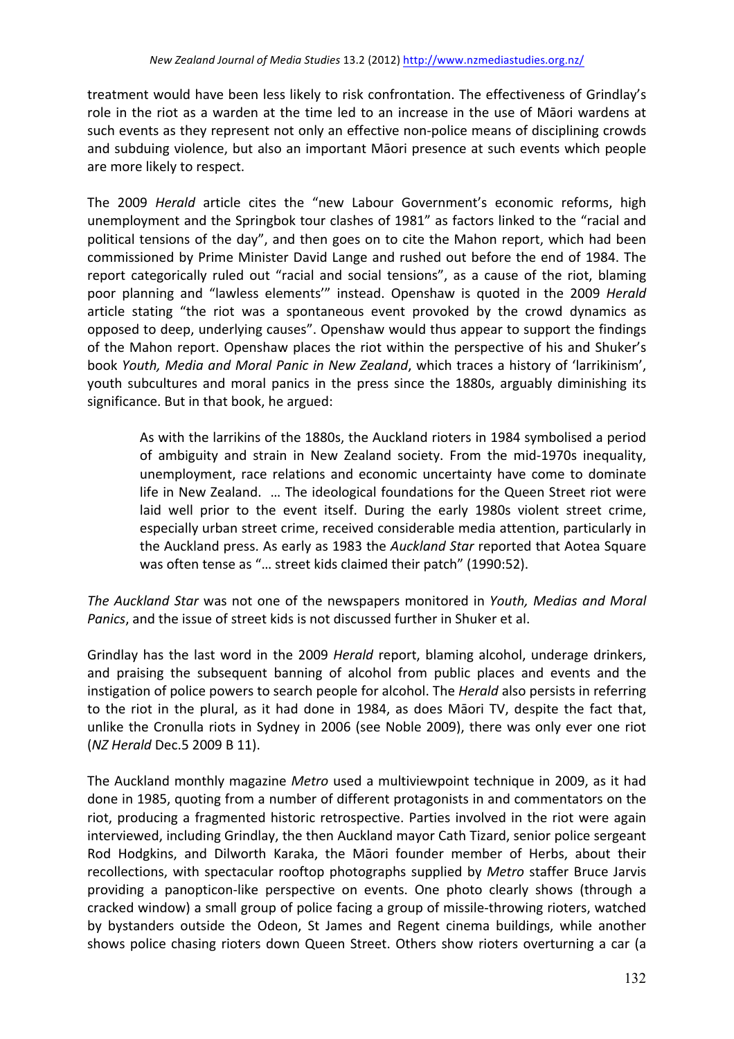treatment would have been less likely to risk confrontation. The effectiveness of Grindlay's role in the riot as a warden at the time led to an increase in the use of Māori wardens at such events as they represent not only an effective non-police means of disciplining crowds and subduing violence, but also an important Māori presence at such events which people are more likely to respect.

The 2009 *Herald* article cites the "new Labour Government's economic reforms, high unemployment and the Springbok tour clashes of 1981" as factors linked to the "racial and political tensions of the day", and then goes on to cite the Mahon report, which had been commissioned by Prime Minister David Lange and rushed out before the end of 1984. The report categorically ruled out "racial and social tensions", as a cause of the riot, blaming poor planning and "lawless elements'" instead. Openshaw is quoted in the 2009 *Herald* article stating "the riot was a spontaneous event provoked by the crowd dynamics as opposed to deep, underlying causes". Openshaw would thus appear to support the findings of the Mahon report. Openshaw places the riot within the perspective of his and Shuker's book *Youth, Media and Moral Panic in New Zealand*, which traces a history of 'larrikinism', youth subcultures and moral panics in the press since the 1880s, arguably diminishing its significance. But in that book, he argued:

As with the larrikins of the 1880s, the Auckland rioters in 1984 symbolised a period of ambiguity and strain in New Zealand society. From the mid-1970s inequality, unemployment, race relations and economic uncertainty have come to dominate life in New Zealand. ... The ideological foundations for the Queen Street riot were laid well prior to the event itself. During the early 1980s violent street crime, especially urban street crime, received considerable media attention, particularly in the Auckland press. As early as 1983 the *Auckland Star* reported that Aotea Square was often tense as "... street kids claimed their patch" (1990:52).

The Auckland Star was not one of the newspapers monitored in *Youth, Medias and Moral Panics*, and the issue of street kids is not discussed further in Shuker et al.

Grindlay has the last word in the 2009 *Herald* report, blaming alcohol, underage drinkers, and praising the subsequent banning of alcohol from public places and events and the instigation of police powers to search people for alcohol. The *Herald* also persists in referring to the riot in the plural, as it had done in 1984, as does Maori TV, despite the fact that, unlike the Cronulla riots in Sydney in 2006 (see Noble 2009), there was only ever one riot (*NZ Herald* Dec.5 2009 B 11). 

The Auckland monthly magazine *Metro* used a multiviewpoint technique in 2009, as it had done in 1985, quoting from a number of different protagonists in and commentators on the riot, producing a fragmented historic retrospective. Parties involved in the riot were again interviewed, including Grindlay, the then Auckland mayor Cath Tizard, senior police sergeant Rod Hodgkins, and Dilworth Karaka, the Māori founder member of Herbs, about their recollections, with spectacular rooftop photographs supplied by *Metro* staffer Bruce Jarvis providing a panopticon-like perspective on events. One photo clearly shows (through a cracked window) a small group of police facing a group of missile-throwing rioters, watched by bystanders outside the Odeon, St James and Regent cinema buildings, while another shows police chasing rioters down Queen Street. Others show rioters overturning a car (a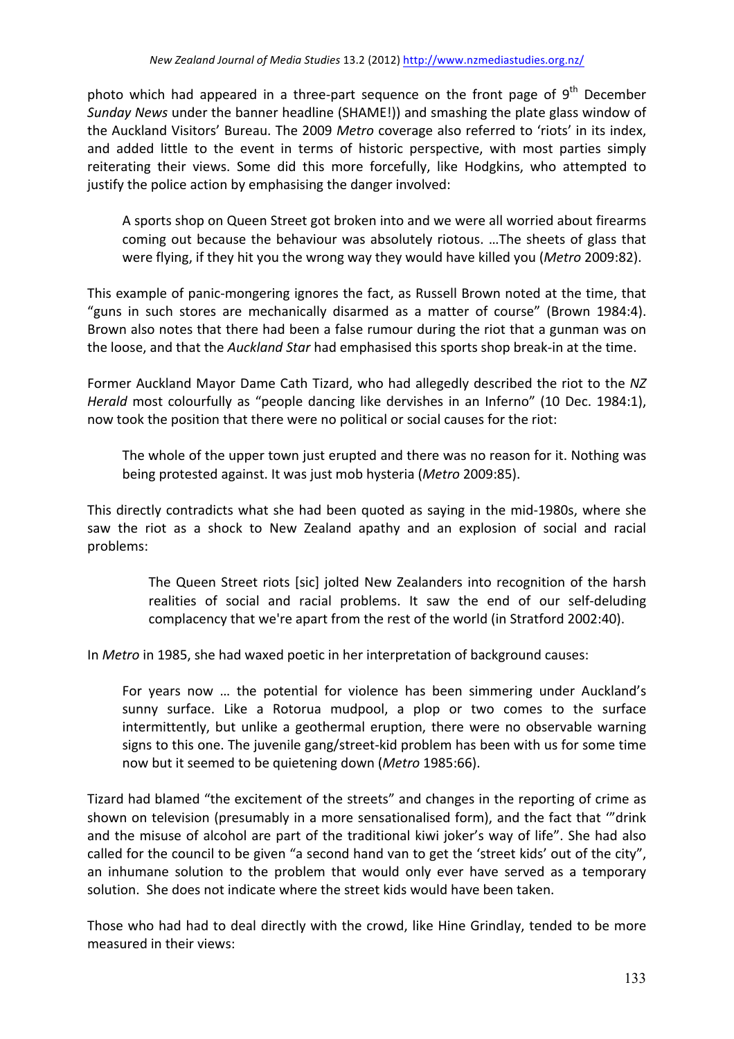photo which had appeared in a three-part sequence on the front page of  $9<sup>th</sup>$  December *Sunday* News under the banner headline (SHAME!)) and smashing the plate glass window of the Auckland Visitors' Bureau. The 2009 *Metro* coverage also referred to 'riots' in its index. and added little to the event in terms of historic perspective, with most parties simply reiterating their views. Some did this more forcefully, like Hodgkins, who attempted to justify the police action by emphasising the danger involved:

A sports shop on Queen Street got broken into and we were all worried about firearms coming out because the behaviour was absolutely riotous. ... The sheets of glass that were flying, if they hit you the wrong way they would have killed you (Metro 2009:82).

This example of panic-mongering ignores the fact, as Russell Brown noted at the time, that "guns in such stores are mechanically disarmed as a matter of course" (Brown 1984:4). Brown also notes that there had been a false rumour during the riot that a gunman was on the loose, and that the *Auckland Star* had emphasised this sports shop break-in at the time.

Former Auckland Mayor Dame Cath Tizard, who had allegedly described the riot to the NZ *Herald* most colourfully as "people dancing like dervishes in an Inferno" (10 Dec. 1984:1), now took the position that there were no political or social causes for the riot:

The whole of the upper town just erupted and there was no reason for it. Nothing was being protested against. It was just mob hysteria (Metro 2009:85).

This directly contradicts what she had been quoted as saying in the mid-1980s, where she saw the riot as a shock to New Zealand apathy and an explosion of social and racial problems:

> The Queen Street riots [sic] jolted New Zealanders into recognition of the harsh realities of social and racial problems. It saw the end of our self-deluding complacency that we're apart from the rest of the world (in Stratford 2002:40).

In *Metro* in 1985, she had waxed poetic in her interpretation of background causes:

For years now ... the potential for violence has been simmering under Auckland's sunny surface. Like a Rotorua mudpool, a plop or two comes to the surface intermittently, but unlike a geothermal eruption, there were no observable warning signs to this one. The juvenile gang/street-kid problem has been with us for some time now but it seemed to be quietening down (Metro 1985:66).

Tizard had blamed "the excitement of the streets" and changes in the reporting of crime as shown on television (presumably in a more sensationalised form), and the fact that ""drink and the misuse of alcohol are part of the traditional kiwi joker's way of life". She had also called for the council to be given "a second hand van to get the 'street kids' out of the city", an inhumane solution to the problem that would only ever have served as a temporary solution. She does not indicate where the street kids would have been taken.

Those who had had to deal directly with the crowd, like Hine Grindlay, tended to be more measured in their views: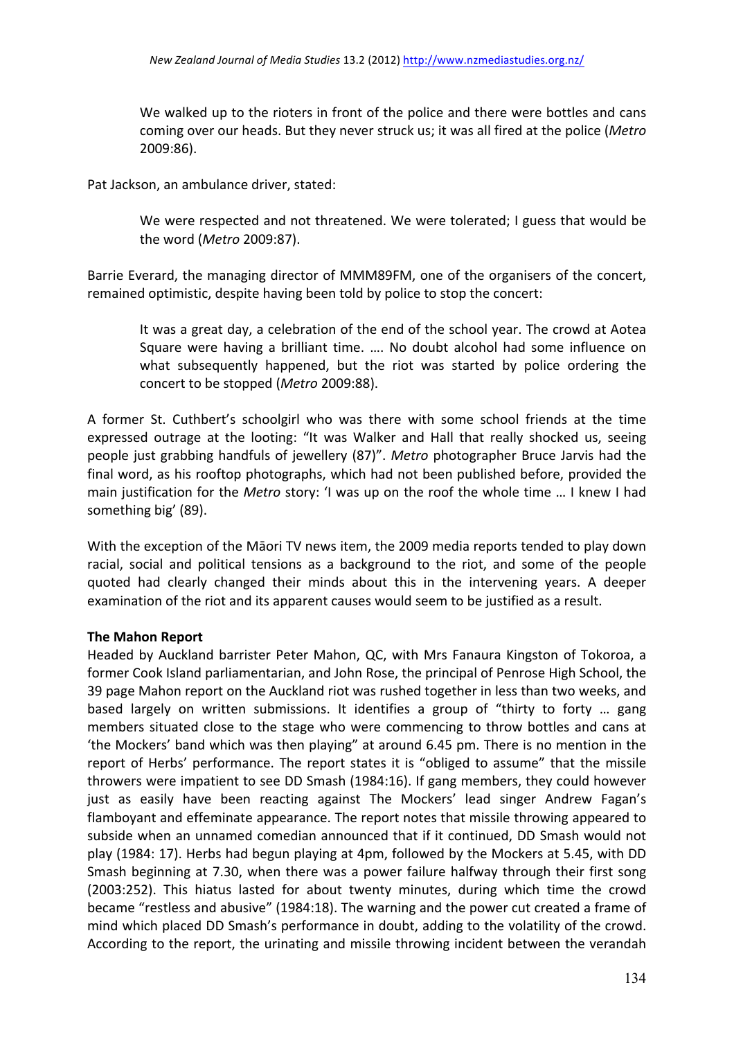We walked up to the rioters in front of the police and there were bottles and cans coming over our heads. But they never struck us; it was all fired at the police (*Metro*) 2009:86). 

Pat Jackson, an ambulance driver, stated:

We were respected and not threatened. We were tolerated; I guess that would be the word (Metro 2009:87).

Barrie Everard, the managing director of MMM89FM, one of the organisers of the concert, remained optimistic, despite having been told by police to stop the concert:

It was a great day, a celebration of the end of the school year. The crowd at Aotea Square were having a brilliant time. .... No doubt alcohol had some influence on what subsequently happened, but the riot was started by police ordering the concert to be stopped (Metro 2009:88).

A former St. Cuthbert's schoolgirl who was there with some school friends at the time expressed outrage at the looting: "It was Walker and Hall that really shocked us, seeing people just grabbing handfuls of jewellery (87)". Metro photographer Bruce Jarvis had the final word, as his rooftop photographs, which had not been published before, provided the main justification for the *Metro* story: 'I was up on the roof the whole time ... I knew I had something big' (89).

With the exception of the Māori TV news item, the 2009 media reports tended to play down racial, social and political tensions as a background to the riot, and some of the people quoted had clearly changed their minds about this in the intervening years. A deeper examination of the riot and its apparent causes would seem to be justified as a result.

### **The Mahon Report**

Headed by Auckland barrister Peter Mahon, QC, with Mrs Fanaura Kingston of Tokoroa, a former Cook Island parliamentarian, and John Rose, the principal of Penrose High School, the 39 page Mahon report on the Auckland riot was rushed together in less than two weeks, and based largely on written submissions. It identifies a group of "thirty to forty ... gang members situated close to the stage who were commencing to throw bottles and cans at 'the Mockers' band which was then playing" at around 6.45 pm. There is no mention in the report of Herbs' performance. The report states it is "obliged to assume" that the missile throwers were impatient to see DD Smash (1984:16). If gang members, they could however just as easily have been reacting against The Mockers' lead singer Andrew Fagan's flamboyant and effeminate appearance. The report notes that missile throwing appeared to subside when an unnamed comedian announced that if it continued, DD Smash would not play (1984: 17). Herbs had begun playing at 4pm, followed by the Mockers at 5.45, with DD Smash beginning at 7.30, when there was a power failure halfway through their first song (2003:252). This hiatus lasted for about twenty minutes, during which time the crowd became "restless and abusive" (1984:18). The warning and the power cut created a frame of mind which placed DD Smash's performance in doubt, adding to the volatility of the crowd. According to the report, the urinating and missile throwing incident between the verandah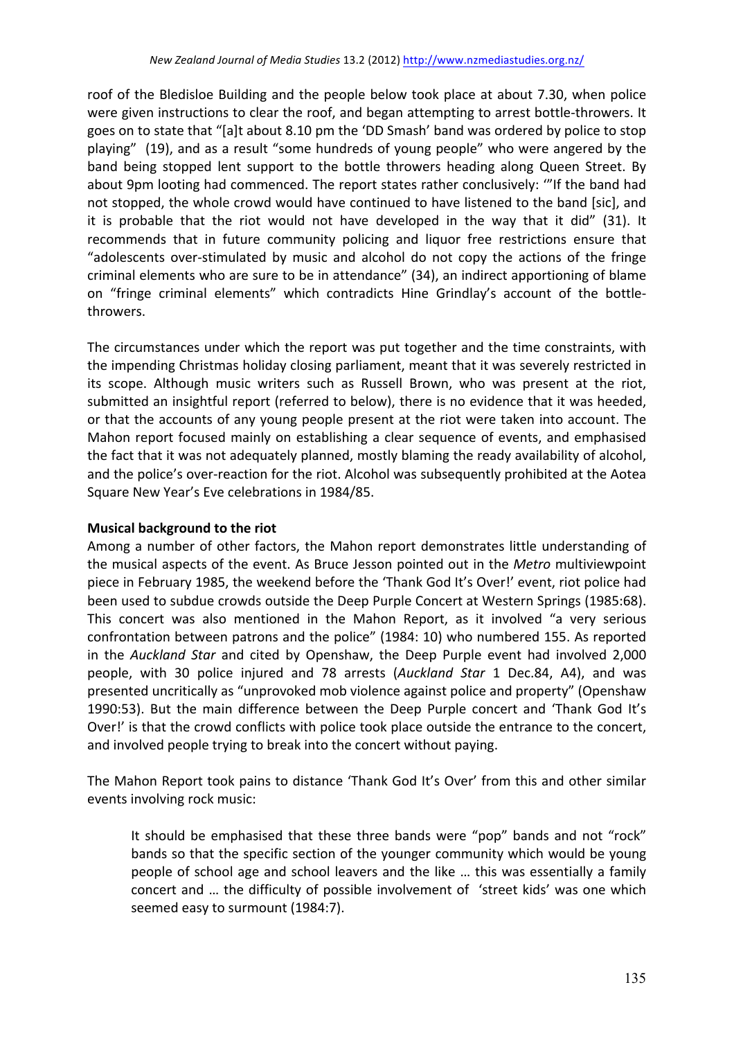roof of the Bledisloe Building and the people below took place at about 7.30, when police were given instructions to clear the roof, and began attempting to arrest bottle-throwers. It goes on to state that "[a]t about 8.10 pm the 'DD Smash' band was ordered by police to stop playing" (19), and as a result "some hundreds of young people" who were angered by the band being stopped lent support to the bottle throwers heading along Queen Street. By about 9pm looting had commenced. The report states rather conclusively: "If the band had not stopped, the whole crowd would have continued to have listened to the band [sic], and it is probable that the riot would not have developed in the way that it did" (31). It recommends that in future community policing and liquor free restrictions ensure that "adolescents over-stimulated by music and alcohol do not copy the actions of the fringe criminal elements who are sure to be in attendance" (34), an indirect apportioning of blame on "fringe criminal elements" which contradicts Hine Grindlay's account of the bottlethrowers. 

The circumstances under which the report was put together and the time constraints, with the impending Christmas holiday closing parliament, meant that it was severely restricted in its scope. Although music writers such as Russell Brown, who was present at the riot, submitted an insightful report (referred to below), there is no evidence that it was heeded, or that the accounts of any young people present at the riot were taken into account. The Mahon report focused mainly on establishing a clear sequence of events, and emphasised the fact that it was not adequately planned, mostly blaming the ready availability of alcohol, and the police's over-reaction for the riot. Alcohol was subsequently prohibited at the Aotea Square New Year's Eve celebrations in 1984/85.

### **Musical background to the riot**

Among a number of other factors, the Mahon report demonstrates little understanding of the musical aspects of the event. As Bruce Jesson pointed out in the *Metro* multiviewpoint piece in February 1985, the weekend before the 'Thank God It's Over!' event, riot police had been used to subdue crowds outside the Deep Purple Concert at Western Springs (1985:68). This concert was also mentioned in the Mahon Report, as it involved "a very serious confrontation between patrons and the police" (1984: 10) who numbered 155. As reported in the *Auckland Star* and cited by Openshaw, the Deep Purple event had involved 2,000 people, with 30 police injured and 78 arrests (Auckland Star 1 Dec.84, A4), and was presented uncritically as "unprovoked mob violence against police and property" (Openshaw 1990:53). But the main difference between the Deep Purple concert and 'Thank God It's Over!' is that the crowd conflicts with police took place outside the entrance to the concert, and involved people trying to break into the concert without paying.

The Mahon Report took pains to distance 'Thank God It's Over' from this and other similar events involving rock music:

It should be emphasised that these three bands were "pop" bands and not "rock" bands so that the specific section of the younger community which would be young people of school age and school leavers and the like ... this was essentially a family concert and ... the difficulty of possible involvement of 'street kids' was one which seemed easy to surmount (1984:7).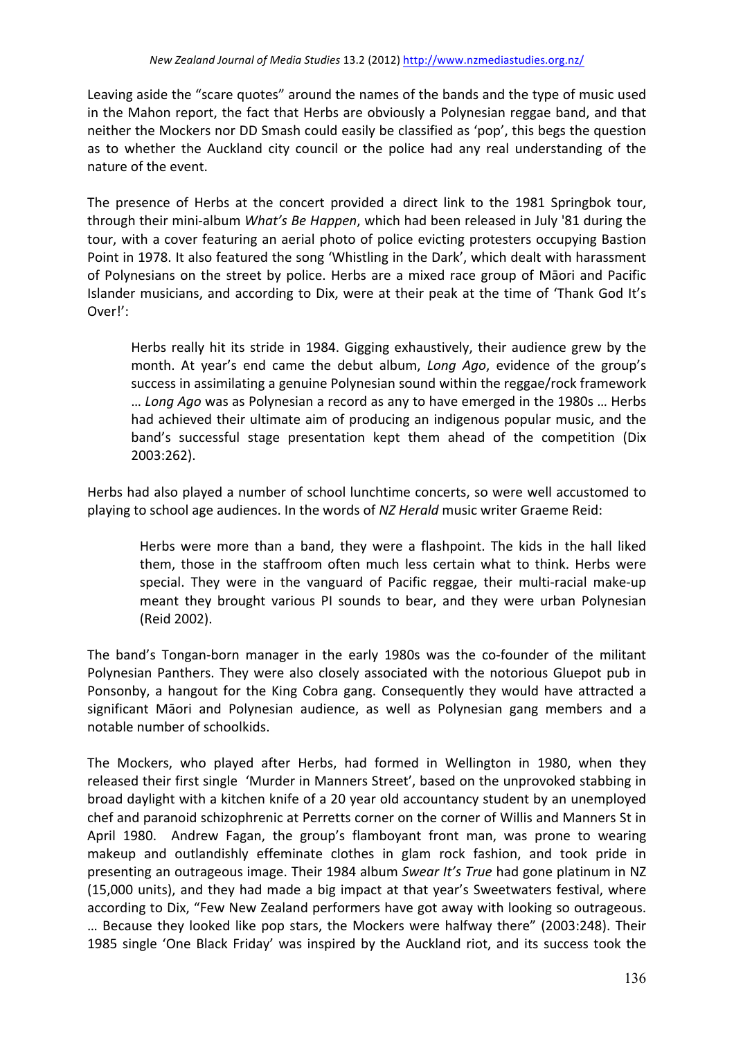Leaving aside the "scare quotes" around the names of the bands and the type of music used in the Mahon report, the fact that Herbs are obviously a Polynesian reggae band, and that neither the Mockers nor DD Smash could easily be classified as 'pop', this begs the question as to whether the Auckland city council or the police had any real understanding of the nature of the event.

The presence of Herbs at the concert provided a direct link to the 1981 Springbok tour, through their mini-album *What's Be Happen*, which had been released in July '81 during the tour, with a cover featuring an aerial photo of police evicting protesters occupying Bastion Point in 1978. It also featured the song 'Whistling in the Dark', which dealt with harassment of Polynesians on the street by police. Herbs are a mixed race group of Māori and Pacific Islander musicians, and according to Dix, were at their peak at the time of 'Thank God It's Over!':

Herbs really hit its stride in 1984. Gigging exhaustively, their audience grew by the month. At year's end came the debut album, *Long Ago*, evidence of the group's success in assimilating a genuine Polynesian sound within the reggae/rock framework … *Long Ago* was as Polynesian a record as any to have emerged in the 1980s … Herbs had achieved their ultimate aim of producing an indigenous popular music, and the band's successful stage presentation kept them ahead of the competition (Dix 2003:262). 

Herbs had also played a number of school lunchtime concerts, so were well accustomed to playing to school age audiences. In the words of *NZ Herald* music writer Graeme Reid:

Herbs were more than a band, they were a flashpoint. The kids in the hall liked them, those in the staffroom often much less certain what to think. Herbs were special. They were in the vanguard of Pacific reggae, their multi-racial make-up meant they brought various PI sounds to bear, and they were urban Polynesian (Reid 2002).

The band's Tongan-born manager in the early 1980s was the co-founder of the militant Polynesian Panthers. They were also closely associated with the notorious Gluepot pub in Ponsonby, a hangout for the King Cobra gang. Consequently they would have attracted a significant Māori and Polynesian audience, as well as Polynesian gang members and a notable number of schoolkids.

The Mockers, who played after Herbs, had formed in Wellington in 1980, when they released their first single 'Murder in Manners Street', based on the unprovoked stabbing in broad daylight with a kitchen knife of a 20 year old accountancy student by an unemployed chef and paranoid schizophrenic at Perretts corner on the corner of Willis and Manners St in April 1980. Andrew Fagan, the group's flamboyant front man, was prone to wearing makeup and outlandishly effeminate clothes in glam rock fashion, and took pride in presenting an outrageous image. Their 1984 album *Swear It's True* had gone platinum in NZ (15,000 units), and they had made a big impact at that year's Sweetwaters festival, where according to Dix, "Few New Zealand performers have got away with looking so outrageous. ... Because they looked like pop stars, the Mockers were halfway there" (2003:248). Their 1985 single 'One Black Friday' was inspired by the Auckland riot, and its success took the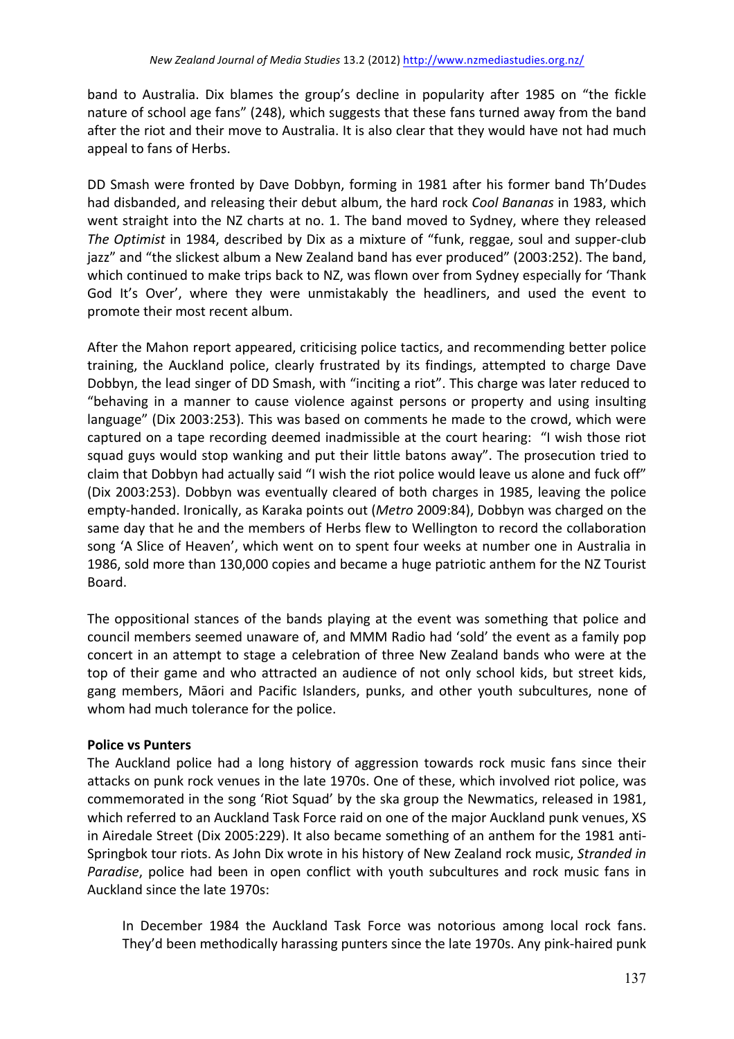band to Australia. Dix blames the group's decline in popularity after 1985 on "the fickle nature of school age fans" (248), which suggests that these fans turned away from the band after the riot and their move to Australia. It is also clear that they would have not had much appeal to fans of Herbs.

DD Smash were fronted by Dave Dobbyn, forming in 1981 after his former band Th'Dudes had disbanded, and releasing their debut album, the hard rock *Cool Bananas* in 1983, which went straight into the NZ charts at no. 1. The band moved to Sydney, where they released The Optimist in 1984, described by Dix as a mixture of "funk, reggae, soul and supper-club jazz" and "the slickest album a New Zealand band has ever produced" (2003:252). The band, which continued to make trips back to NZ, was flown over from Sydney especially for 'Thank God It's Over', where they were unmistakably the headliners, and used the event to promote their most recent album.

After the Mahon report appeared, criticising police tactics, and recommending better police training, the Auckland police, clearly frustrated by its findings, attempted to charge Dave Dobbyn, the lead singer of DD Smash, with "inciting a riot". This charge was later reduced to "behaving in a manner to cause violence against persons or property and using insulting language" (Dix 2003:253). This was based on comments he made to the crowd, which were captured on a tape recording deemed inadmissible at the court hearing: "I wish those riot squad guys would stop wanking and put their little batons away". The prosecution tried to claim that Dobbyn had actually said "I wish the riot police would leave us alone and fuck off" (Dix 2003:253). Dobbyn was eventually cleared of both charges in 1985, leaving the police empty-handed. Ironically, as Karaka points out (*Metro* 2009:84), Dobbyn was charged on the same day that he and the members of Herbs flew to Wellington to record the collaboration song 'A Slice of Heaven', which went on to spent four weeks at number one in Australia in 1986, sold more than 130,000 copies and became a huge patriotic anthem for the NZ Tourist Board. 

The oppositional stances of the bands playing at the event was something that police and council members seemed unaware of, and MMM Radio had 'sold' the event as a family pop concert in an attempt to stage a celebration of three New Zealand bands who were at the top of their game and who attracted an audience of not only school kids, but street kids, gang members, Māori and Pacific Islanders, punks, and other youth subcultures, none of whom had much tolerance for the police.

### **Police vs Punters**

The Auckland police had a long history of aggression towards rock music fans since their attacks on punk rock venues in the late 1970s. One of these, which involved riot police, was commemorated in the song 'Riot Squad' by the ska group the Newmatics, released in 1981, which referred to an Auckland Task Force raid on one of the major Auckland punk venues, XS in Airedale Street (Dix 2005:229). It also became something of an anthem for the 1981 anti-Springbok tour riots. As John Dix wrote in his history of New Zealand rock music, Stranded in *Paradise*, police had been in open conflict with youth subcultures and rock music fans in Auckland since the late 1970s:

In December 1984 the Auckland Task Force was notorious among local rock fans. They'd been methodically harassing punters since the late 1970s. Any pink-haired punk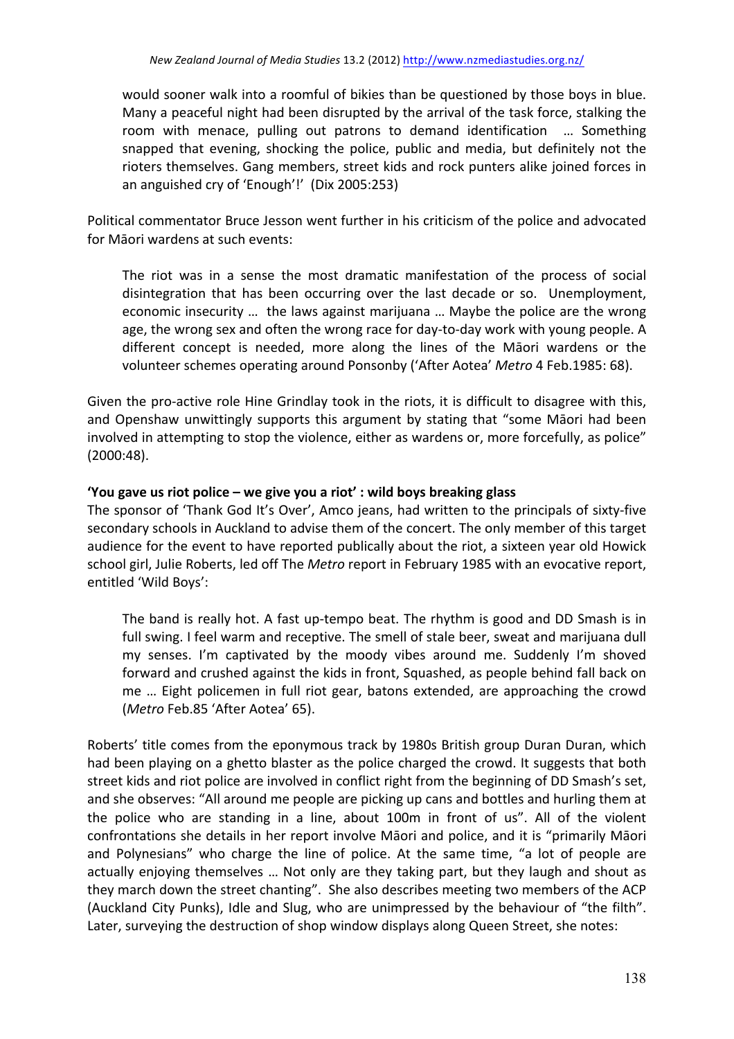would sooner walk into a roomful of bikies than be questioned by those boys in blue. Many a peaceful night had been disrupted by the arrival of the task force, stalking the room with menace, pulling out patrons to demand identification ... Something snapped that evening, shocking the police, public and media, but definitely not the rioters themselves. Gang members, street kids and rock punters alike joined forces in an anguished cry of 'Enough'!' (Dix 2005:253)

Political commentator Bruce Jesson went further in his criticism of the police and advocated for Māori wardens at such events:

The riot was in a sense the most dramatic manifestation of the process of social disintegration that has been occurring over the last decade or so. Unemployment, economic insecurity ... the laws against marijuana ... Maybe the police are the wrong age, the wrong sex and often the wrong race for day-to-day work with young people. A different concept is needed, more along the lines of the Māori wardens or the volunteer schemes operating around Ponsonby ('After Aotea' Metro 4 Feb.1985: 68).

Given the pro-active role Hine Grindlay took in the riots, it is difficult to disagree with this, and Openshaw unwittingly supports this argument by stating that "some Māori had been involved in attempting to stop the violence, either as wardens or, more forcefully, as police" (2000:48). 

### **'You gave us riot police – we give you a riot' : wild boys breaking glass**

The sponsor of 'Thank God It's Over', Amco jeans, had written to the principals of sixty-five secondary schools in Auckland to advise them of the concert. The only member of this target audience for the event to have reported publically about the riot, a sixteen year old Howick school girl, Julie Roberts, led off The *Metro* report in February 1985 with an evocative report, entitled 'Wild Boys':

The band is really hot. A fast up-tempo beat. The rhythm is good and DD Smash is in full swing. I feel warm and receptive. The smell of stale beer, sweat and marijuana dull my senses. I'm captivated by the moody vibes around me. Suddenly I'm shoved forward and crushed against the kids in front, Squashed, as people behind fall back on me ... Eight policemen in full riot gear, batons extended, are approaching the crowd (*Metro* Feb.85 'After Aotea' 65).

Roberts' title comes from the eponymous track by 1980s British group Duran Duran, which had been playing on a ghetto blaster as the police charged the crowd. It suggests that both street kids and riot police are involved in conflict right from the beginning of DD Smash's set, and she observes: "All around me people are picking up cans and bottles and hurling them at the police who are standing in a line, about 100m in front of us". All of the violent confrontations she details in her report involve Māori and police, and it is "primarily Māori and Polynesians" who charge the line of police. At the same time, "a lot of people are actually enjoying themselves ... Not only are they taking part, but they laugh and shout as they march down the street chanting". She also describes meeting two members of the ACP (Auckland City Punks), Idle and Slug, who are unimpressed by the behaviour of "the filth". Later, surveying the destruction of shop window displays along Queen Street, she notes: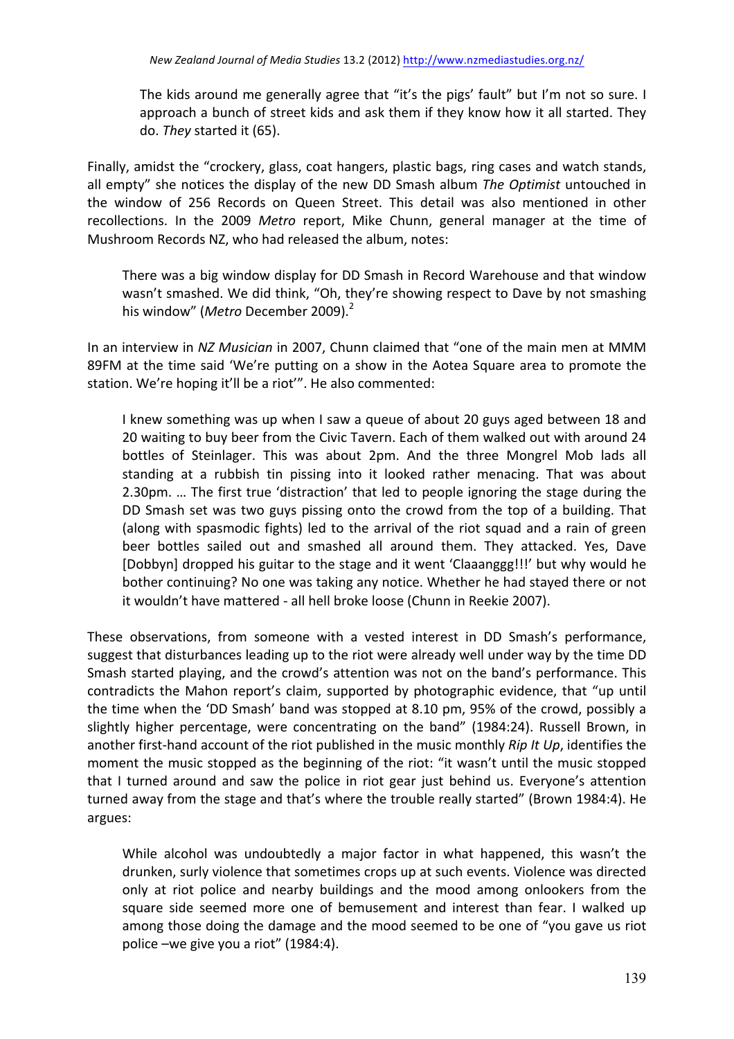The kids around me generally agree that "it's the pigs' fault" but I'm not so sure. I approach a bunch of street kids and ask them if they know how it all started. They do. They started it (65).

Finally, amidst the "crockery, glass, coat hangers, plastic bags, ring cases and watch stands, all empty" she notices the display of the new DD Smash album *The Optimist* untouched in the window of 256 Records on Queen Street. This detail was also mentioned in other recollections. In the 2009 Metro report, Mike Chunn, general manager at the time of Mushroom Records NZ, who had released the album, notes:

There was a big window display for DD Smash in Record Warehouse and that window wasn't smashed. We did think, "Oh, they're showing respect to Dave by not smashing his window" (Metro December 2009).<sup>2</sup>

In an interview in *NZ Musician* in 2007, Chunn claimed that "one of the main men at MMM 89FM at the time said 'We're putting on a show in the Aotea Square area to promote the station. We're hoping it'll be a riot'". He also commented:

I knew something was up when I saw a queue of about 20 guys aged between 18 and 20 waiting to buy beer from the Civic Tavern. Each of them walked out with around 24 bottles of Steinlager. This was about 2pm. And the three Mongrel Mob lads all standing at a rubbish tin pissing into it looked rather menacing. That was about 2.30pm. ... The first true 'distraction' that led to people ignoring the stage during the DD Smash set was two guys pissing onto the crowd from the top of a building. That (along with spasmodic fights) led to the arrival of the riot squad and a rain of green beer bottles sailed out and smashed all around them. They attacked. Yes, Dave [Dobbyn] dropped his guitar to the stage and it went 'Claaanggg!!!' but why would he bother continuing? No one was taking any notice. Whether he had stayed there or not it wouldn't have mattered - all hell broke loose (Chunn in Reekie 2007).

These observations, from someone with a vested interest in DD Smash's performance, suggest that disturbances leading up to the riot were already well under way by the time DD Smash started playing, and the crowd's attention was not on the band's performance. This contradicts the Mahon report's claim, supported by photographic evidence, that "up until the time when the 'DD Smash' band was stopped at  $8.10$  pm,  $95\%$  of the crowd, possibly a slightly higher percentage, were concentrating on the band" (1984:24). Russell Brown, in another first-hand account of the riot published in the music monthly *Rip It Up*, identifies the moment the music stopped as the beginning of the riot: "it wasn't until the music stopped that I turned around and saw the police in riot gear just behind us. Everyone's attention turned away from the stage and that's where the trouble really started" (Brown 1984:4). He argues:

While alcohol was undoubtedly a major factor in what happened, this wasn't the drunken, surly violence that sometimes crops up at such events. Violence was directed only at riot police and nearby buildings and the mood among onlookers from the square side seemed more one of bemusement and interest than fear. I walked up among those doing the damage and the mood seemed to be one of "you gave us riot police –we give you a riot" (1984:4).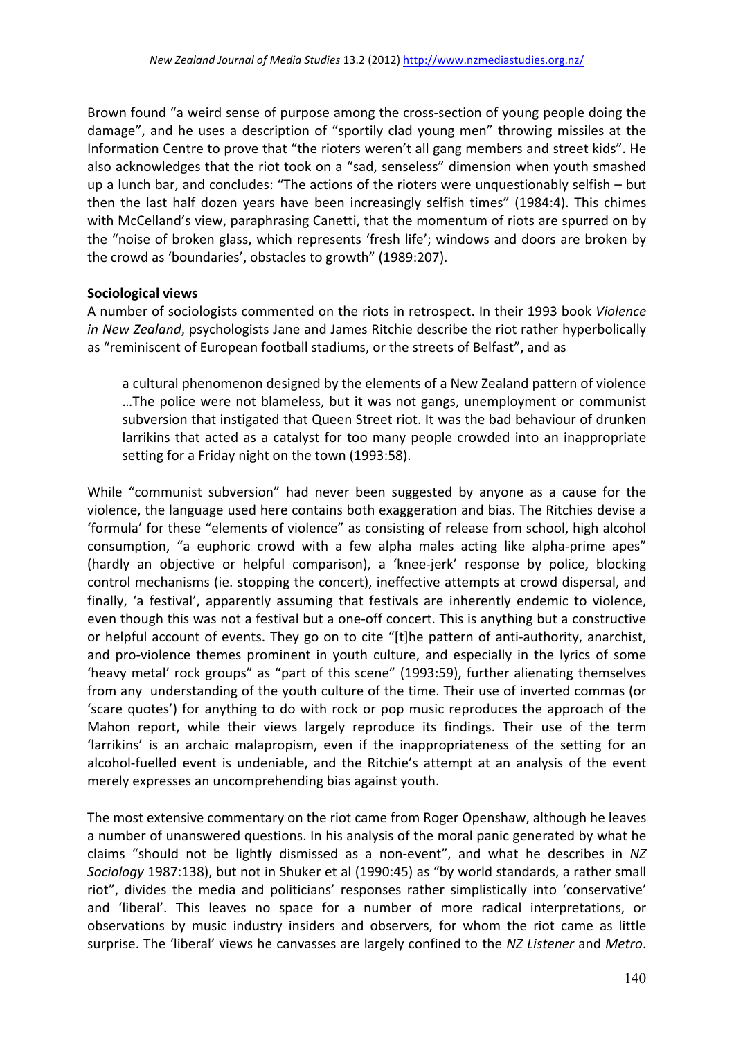Brown found "a weird sense of purpose among the cross-section of young people doing the damage", and he uses a description of "sportily clad young men" throwing missiles at the Information Centre to prove that "the rioters weren't all gang members and street kids". He also acknowledges that the riot took on a "sad, senseless" dimension when youth smashed up a lunch bar, and concludes: "The actions of the rioters were unquestionably selfish  $-$  but then the last half dozen years have been increasingly selfish times" (1984:4). This chimes with McCelland's view, paraphrasing Canetti, that the momentum of riots are spurred on by the "noise of broken glass, which represents 'fresh life'; windows and doors are broken by the crowd as 'boundaries', obstacles to growth" (1989:207).

#### **Sociological views**

A number of sociologists commented on the riots in retrospect. In their 1993 book Violence *in* New Zealand, psychologists Jane and James Ritchie describe the riot rather hyperbolically as "reminiscent of European football stadiums, or the streets of Belfast", and as

a cultural phenomenon designed by the elements of a New Zealand pattern of violence ...The police were not blameless, but it was not gangs, unemployment or communist subversion that instigated that Queen Street riot. It was the bad behaviour of drunken larrikins that acted as a catalyst for too many people crowded into an inappropriate setting for a Friday night on the town (1993:58).

While "communist subversion" had never been suggested by anyone as a cause for the violence, the language used here contains both exaggeration and bias. The Ritchies devise a 'formula' for these "elements of violence" as consisting of release from school, high alcohol consumption, "a euphoric crowd with a few alpha males acting like alpha-prime apes" (hardly an objective or helpful comparison), a 'knee-jerk' response by police, blocking control mechanisms (ie. stopping the concert), ineffective attempts at crowd dispersal, and finally, 'a festival', apparently assuming that festivals are inherently endemic to violence, even though this was not a festival but a one-off concert. This is anything but a constructive or helpful account of events. They go on to cite "[t]he pattern of anti-authority, anarchist, and pro-violence themes prominent in youth culture, and especially in the lyrics of some 'heavy metal' rock groups" as "part of this scene" (1993:59), further alienating themselves from any understanding of the youth culture of the time. Their use of inverted commas (or 'scare quotes') for anything to do with rock or pop music reproduces the approach of the Mahon report, while their views largely reproduce its findings. Their use of the term 'larrikins' is an archaic malapropism, even if the inappropriateness of the setting for an alcohol-fuelled event is undeniable, and the Ritchie's attempt at an analysis of the event merely expresses an uncomprehending bias against youth.

The most extensive commentary on the riot came from Roger Openshaw, although he leaves a number of unanswered questions. In his analysis of the moral panic generated by what he claims "should not be lightly dismissed as a non-event", and what he describes in NZ *Sociology* 1987:138), but not in Shuker et al (1990:45) as "by world standards, a rather small riot", divides the media and politicians' responses rather simplistically into 'conservative' and 'liberal'. This leaves no space for a number of more radical interpretations, or observations by music industry insiders and observers, for whom the riot came as little surprise. The 'liberal' views he canvasses are largely confined to the *NZ Listener* and *Metro*.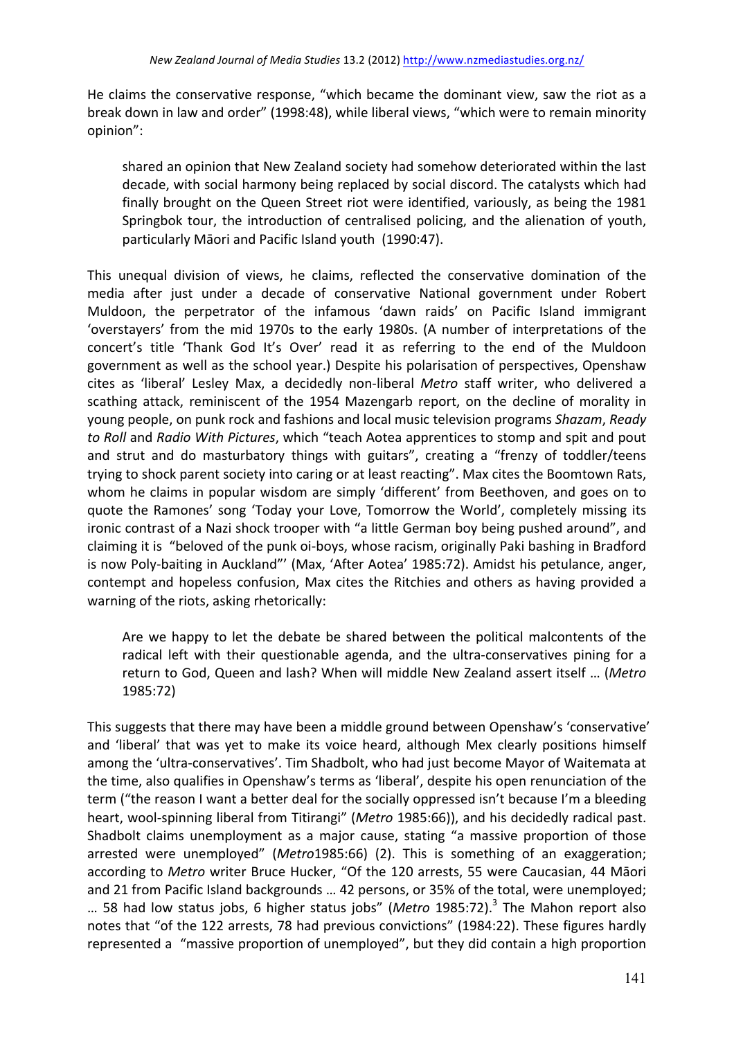He claims the conservative response, "which became the dominant view, saw the riot as a break down in law and order" (1998:48), while liberal views, "which were to remain minority opinion":

shared an opinion that New Zealand society had somehow deteriorated within the last decade, with social harmony being replaced by social discord. The catalysts which had finally brought on the Queen Street riot were identified, variously, as being the 1981 Springbok tour, the introduction of centralised policing, and the alienation of youth, particularly Māori and Pacific Island youth (1990:47).

This unequal division of views, he claims, reflected the conservative domination of the media after just under a decade of conservative National government under Robert Muldoon, the perpetrator of the infamous 'dawn raids' on Pacific Island immigrant 'overstayers' from the mid 1970s to the early 1980s. (A number of interpretations of the concert's title 'Thank God It's Over' read it as referring to the end of the Muldoon government as well as the school year.) Despite his polarisation of perspectives, Openshaw cites as 'liberal' Lesley Max, a decidedly non-liberal *Metro* staff writer, who delivered a scathing attack, reminiscent of the 1954 Mazengarb report, on the decline of morality in young people, on punk rock and fashions and local music television programs Shazam, Ready to Roll and Radio With Pictures, which "teach Aotea apprentices to stomp and spit and pout and strut and do masturbatory things with guitars", creating a "frenzy of toddler/teens trying to shock parent society into caring or at least reacting". Max cites the Boomtown Rats, whom he claims in popular wisdom are simply 'different' from Beethoven, and goes on to quote the Ramones' song 'Today your Love, Tomorrow the World', completely missing its ironic contrast of a Nazi shock trooper with "a little German boy being pushed around", and claiming it is "beloved of the punk oi-boys, whose racism, originally Paki bashing in Bradford is now Poly-baiting in Auckland"' (Max, 'After Aotea' 1985:72). Amidst his petulance, anger, contempt and hopeless confusion, Max cites the Ritchies and others as having provided a warning of the riots, asking rhetorically:

Are we happy to let the debate be shared between the political malcontents of the radical left with their questionable agenda, and the ultra-conservatives pining for a return to God, Queen and lash? When will middle New Zealand assert itself ... (Metro 1985:72)

This suggests that there may have been a middle ground between Openshaw's 'conservative' and 'liberal' that was yet to make its voice heard, although Mex clearly positions himself among the 'ultra-conservatives'. Tim Shadbolt, who had just become Mayor of Waitemata at the time, also qualifies in Openshaw's terms as 'liberal', despite his open renunciation of the term ("the reason I want a better deal for the socially oppressed isn't because I'm a bleeding heart, wool-spinning liberal from Titirangi" (Metro 1985:66)), and his decidedly radical past. Shadbolt claims unemployment as a major cause, stating "a massive proportion of those arrested were unemployed" (Metro1985:66) (2). This is something of an exaggeration; according to Metro writer Bruce Hucker, "Of the 120 arrests, 55 were Caucasian, 44 Māori and 21 from Pacific Island backgrounds ... 42 persons, or 35% of the total, were unemployed; ... 58 had low status jobs, 6 higher status jobs" (Metro 1985:72).<sup>3</sup> The Mahon report also notes that "of the 122 arrests, 78 had previous convictions" (1984:22). These figures hardly represented a "massive proportion of unemployed", but they did contain a high proportion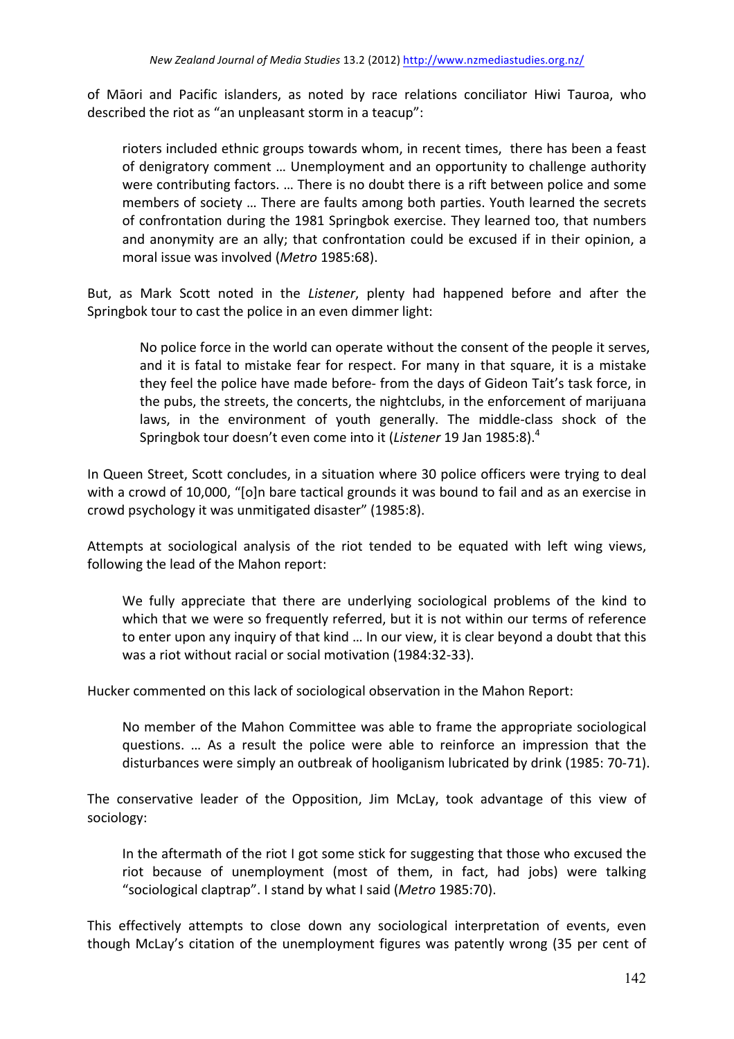of Māori and Pacific islanders, as noted by race relations conciliator Hiwi Tauroa, who described the riot as "an unpleasant storm in a teacup":

rioters included ethnic groups towards whom, in recent times, there has been a feast of denigratory comment ... Unemployment and an opportunity to challenge authority were contributing factors. ... There is no doubt there is a rift between police and some members of society ... There are faults among both parties. Youth learned the secrets of confrontation during the 1981 Springbok exercise. They learned too, that numbers and anonymity are an ally; that confrontation could be excused if in their opinion, a moral issue was involved (Metro 1985:68).

But, as Mark Scott noted in the *Listener*, plenty had happened before and after the Springbok tour to cast the police in an even dimmer light:

No police force in the world can operate without the consent of the people it serves, and it is fatal to mistake fear for respect. For many in that square, it is a mistake they feel the police have made before- from the days of Gideon Tait's task force, in the pubs, the streets, the concerts, the nightclubs, in the enforcement of marijuana laws, in the environment of youth generally. The middle-class shock of the Springbok tour doesn't even come into it (*Listener* 19 Jan 1985:8).<sup>4</sup>

In Queen Street, Scott concludes, in a situation where 30 police officers were trying to deal with a crowd of 10,000, "[o]n bare tactical grounds it was bound to fail and as an exercise in crowd psychology it was unmitigated disaster" (1985:8).

Attempts at sociological analysis of the riot tended to be equated with left wing views, following the lead of the Mahon report:

We fully appreciate that there are underlying sociological problems of the kind to which that we were so frequently referred, but it is not within our terms of reference to enter upon any inquiry of that kind ... In our view, it is clear beyond a doubt that this was a riot without racial or social motivation (1984:32-33).

Hucker commented on this lack of sociological observation in the Mahon Report:

No member of the Mahon Committee was able to frame the appropriate sociological questions. ... As a result the police were able to reinforce an impression that the disturbances were simply an outbreak of hooliganism lubricated by drink (1985: 70-71).

The conservative leader of the Opposition, Jim McLay, took advantage of this view of sociology:

In the aftermath of the riot I got some stick for suggesting that those who excused the riot because of unemployment (most of them, in fact, had jobs) were talking "sociological claptrap". I stand by what I said (*Metro* 1985:70).

This effectively attempts to close down any sociological interpretation of events, even though McLay's citation of the unemployment figures was patently wrong (35 per cent of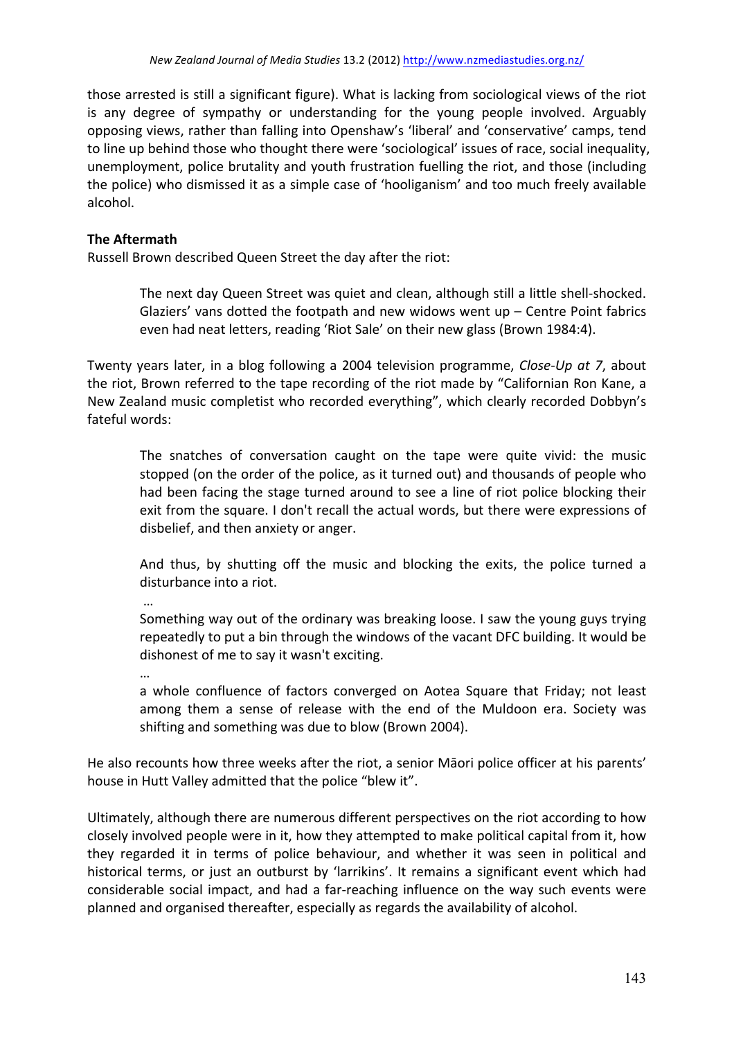those arrested is still a significant figure). What is lacking from sociological views of the riot is any degree of sympathy or understanding for the young people involved. Arguably opposing views, rather than falling into Openshaw's 'liberal' and 'conservative' camps, tend to line up behind those who thought there were 'sociological' issues of race, social inequality, unemployment, police brutality and youth frustration fuelling the riot, and those (including the police) who dismissed it as a simple case of 'hooliganism' and too much freely available alcohol. 

## **The Aftermath**

Russell Brown described Queen Street the day after the riot:

The next day Queen Street was quiet and clean, although still a little shell-shocked. Glaziers' vans dotted the footpath and new widows went up  $-$  Centre Point fabrics even had neat letters, reading 'Riot Sale' on their new glass (Brown 1984:4).

Twenty years later, in a blog following a 2004 television programme, *Close-Up at* 7, about the riot, Brown referred to the tape recording of the riot made by "Californian Ron Kane, a New Zealand music completist who recorded everything", which clearly recorded Dobbyn's fateful words:

The snatches of conversation caught on the tape were quite vivid: the music stopped (on the order of the police, as it turned out) and thousands of people who had been facing the stage turned around to see a line of riot police blocking their exit from the square. I don't recall the actual words, but there were expressions of disbelief, and then anxiety or anger.

And thus, by shutting off the music and blocking the exits, the police turned a disturbance into a riot.

Something way out of the ordinary was breaking loose. I saw the young guys trying repeatedly to put a bin through the windows of the vacant DFC building. It would be dishonest of me to say it wasn't exciting.

…

…

a whole confluence of factors converged on Aotea Square that Friday; not least among them a sense of release with the end of the Muldoon era. Society was shifting and something was due to blow (Brown 2004).

He also recounts how three weeks after the riot, a senior Māori police officer at his parents' house in Hutt Valley admitted that the police "blew it".

Ultimately, although there are numerous different perspectives on the riot according to how closely involved people were in it, how they attempted to make political capital from it, how they regarded it in terms of police behaviour, and whether it was seen in political and historical terms, or just an outburst by 'larrikins'. It remains a significant event which had considerable social impact, and had a far-reaching influence on the way such events were planned and organised thereafter, especially as regards the availability of alcohol.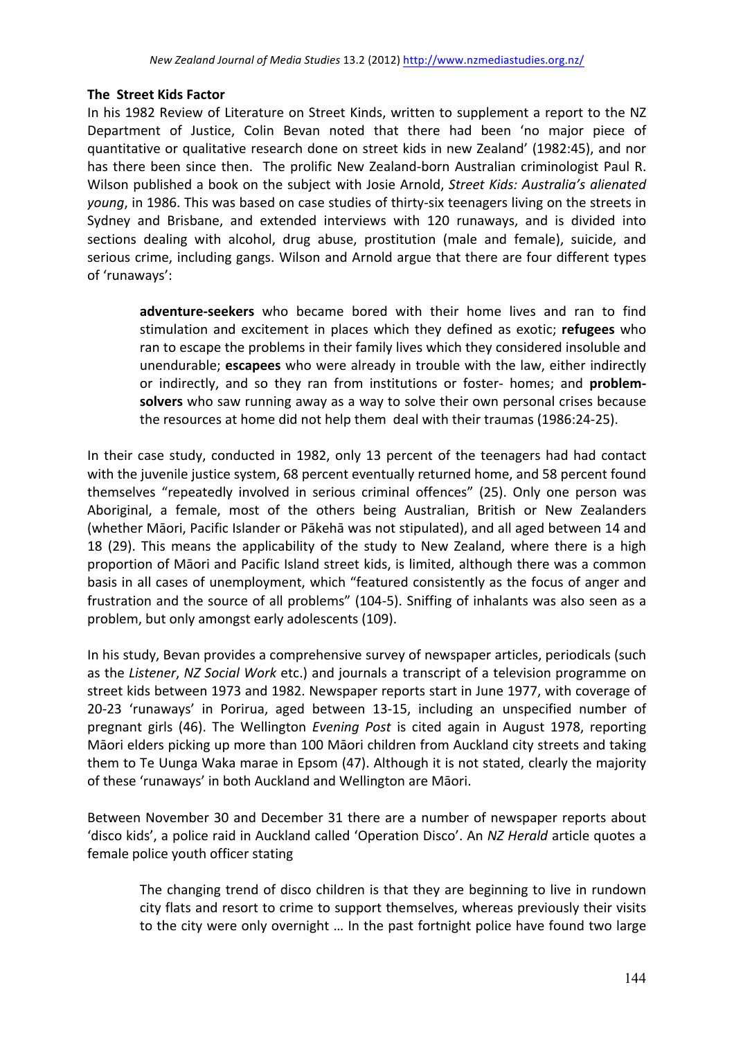## **The Street Kids Factor**

In his 1982 Review of Literature on Street Kinds, written to supplement a report to the NZ Department of Justice, Colin Bevan noted that there had been 'no major piece of quantitative or qualitative research done on street kids in new Zealand' (1982:45), and nor has there been since then. The prolific New Zealand-born Australian criminologist Paul R. Wilson published a book on the subject with Josie Arnold, *Street Kids: Australia's alienated young*, in 1986. This was based on case studies of thirty-six teenagers living on the streets in Sydney and Brisbane, and extended interviews with 120 runaways, and is divided into sections dealing with alcohol, drug abuse, prostitution (male and female), suicide, and serious crime, including gangs. Wilson and Arnold argue that there are four different types of 'runaways':

adventure-seekers who became bored with their home lives and ran to find stimulation and excitement in places which they defined as exotic; refugees who ran to escape the problems in their family lives which they considered insoluble and unendurable; **escapees** who were already in trouble with the law, either indirectly or indirectly, and so they ran from institutions or foster- homes; and **problemsolvers** who saw running away as a way to solve their own personal crises because the resources at home did not help them deal with their traumas (1986:24-25).

In their case study, conducted in 1982, only 13 percent of the teenagers had had contact with the juvenile justice system, 68 percent eventually returned home, and 58 percent found themselves "repeatedly involved in serious criminal offences" (25). Only one person was Aboriginal, a female, most of the others being Australian, British or New Zealanders (whether Māori, Pacific Islander or Pākehā was not stipulated), and all aged between 14 and 18 (29). This means the applicability of the study to New Zealand, where there is a high proportion of Māori and Pacific Island street kids, is limited, although there was a common basis in all cases of unemployment, which "featured consistently as the focus of anger and frustration and the source of all problems" (104-5). Sniffing of inhalants was also seen as a problem, but only amongst early adolescents (109).

In his study, Bevan provides a comprehensive survey of newspaper articles, periodicals (such as the *Listener*, *NZ Social Work* etc.) and journals a transcript of a television programme on street kids between 1973 and 1982. Newspaper reports start in June 1977, with coverage of 20-23 'runaways' in Porirua, aged between 13-15, including an unspecified number of pregnant girls (46). The Wellington *Evening Post* is cited again in August 1978, reporting Māori elders picking up more than 100 Māori children from Auckland city streets and taking them to Te Uunga Waka marae in Epsom (47). Although it is not stated, clearly the majority of these 'runaways' in both Auckland and Wellington are Māori.

Between November 30 and December 31 there are a number of newspaper reports about 'disco kids', a police raid in Auckland called 'Operation Disco'. An *NZ Herald* article quotes a female police youth officer stating

The changing trend of disco children is that they are beginning to live in rundown city flats and resort to crime to support themselves, whereas previously their visits to the city were only overnight ... In the past fortnight police have found two large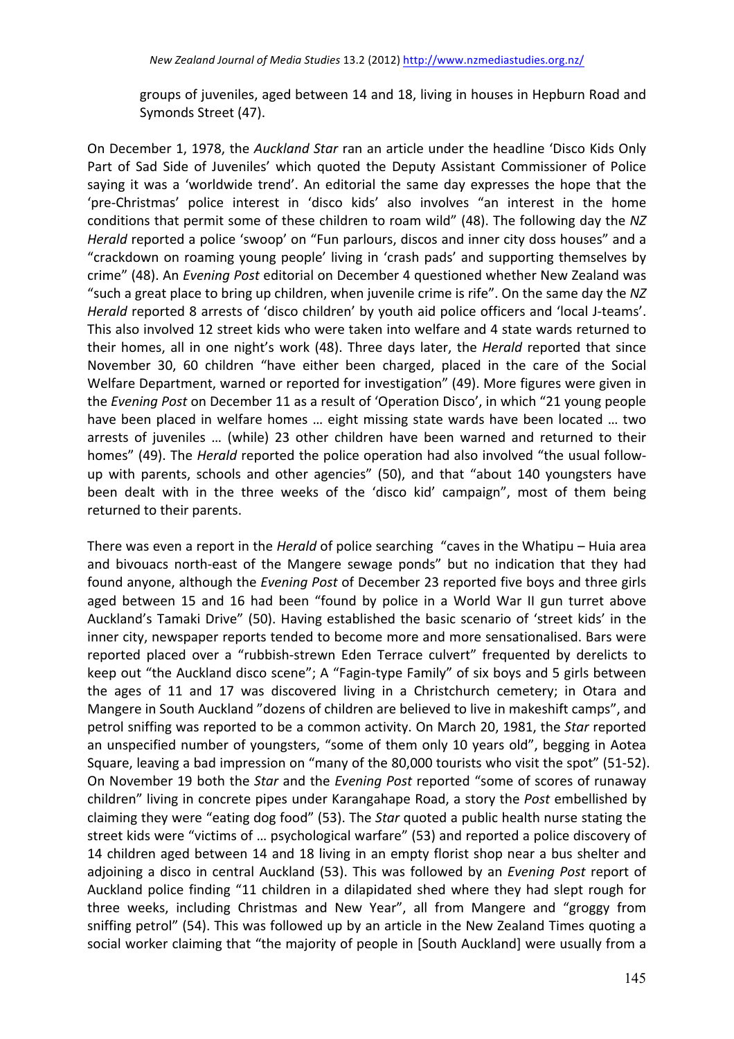groups of juveniles, aged between 14 and 18, living in houses in Hepburn Road and Symonds Street (47).

On December 1, 1978, the *Auckland Star* ran an article under the headline 'Disco Kids Only Part of Sad Side of Juveniles' which quoted the Deputy Assistant Commissioner of Police saying it was a 'worldwide trend'. An editorial the same day expresses the hope that the 'pre-Christmas' police interest in 'disco kids' also involves "an interest in the home conditions that permit some of these children to roam wild" (48). The following day the NZ *Herald* reported a police 'swoop' on "Fun parlours, discos and inner city doss houses" and a "crackdown on roaming young people' living in 'crash pads' and supporting themselves by crime" (48). An *Evening Post* editorial on December 4 questioned whether New Zealand was " such a great place to bring up children, when juvenile crime is rife". On the same day the NZ *Herald* reported 8 arrests of 'disco children' by youth aid police officers and 'local J-teams'. This also involved 12 street kids who were taken into welfare and 4 state wards returned to their homes, all in one night's work (48). Three days later, the *Herald* reported that since November 30, 60 children "have either been charged, placed in the care of the Social Welfare Department, warned or reported for investigation" (49). More figures were given in the *Evening Post* on December 11 as a result of 'Operation Disco', in which "21 young people have been placed in welfare homes ... eight missing state wards have been located ... two arrests of juveniles ... (while) 23 other children have been warned and returned to their homes" (49). The *Herald* reported the police operation had also involved "the usual followup with parents, schools and other agencies" (50), and that "about 140 youngsters have been dealt with in the three weeks of the 'disco kid' campaign", most of them being returned to their parents.

There was even a report in the *Herald* of police searching "caves in the Whatipu – Huia area and bivouacs north-east of the Mangere sewage ponds" but no indication that they had found anyone, although the *Evening Post* of December 23 reported five boys and three girls aged between 15 and 16 had been "found by police in a World War II gun turret above Auckland's Tamaki Drive" (50). Having established the basic scenario of 'street kids' in the inner city, newspaper reports tended to become more and more sensationalised. Bars were reported placed over a "rubbish-strewn Eden Terrace culvert" frequented by derelicts to keep out "the Auckland disco scene"; A "Fagin-type Family" of six boys and 5 girls between the ages of 11 and 17 was discovered living in a Christchurch cemetery; in Otara and Mangere in South Auckland "dozens of children are believed to live in makeshift camps", and petrol sniffing was reported to be a common activity. On March 20, 1981, the *Star* reported an unspecified number of youngsters, "some of them only 10 years old", begging in Aotea Square, leaving a bad impression on "many of the 80,000 tourists who visit the spot" (51-52). On November 19 both the *Star* and the *Evening Post* reported "some of scores of runaway children" living in concrete pipes under Karangahape Road, a story the *Post* embellished by claiming they were "eating dog food" (53). The *Star* quoted a public health nurse stating the street kids were "victims of ... psychological warfare" (53) and reported a police discovery of 14 children aged between 14 and 18 living in an empty florist shop near a bus shelter and adjoining a disco in central Auckland (53). This was followed by an *Evening Post* report of Auckland police finding "11 children in a dilapidated shed where they had slept rough for three weeks, including Christmas and New Year", all from Mangere and "groggy from sniffing petrol" (54). This was followed up by an article in the New Zealand Times quoting a social worker claiming that "the majority of people in [South Auckland] were usually from a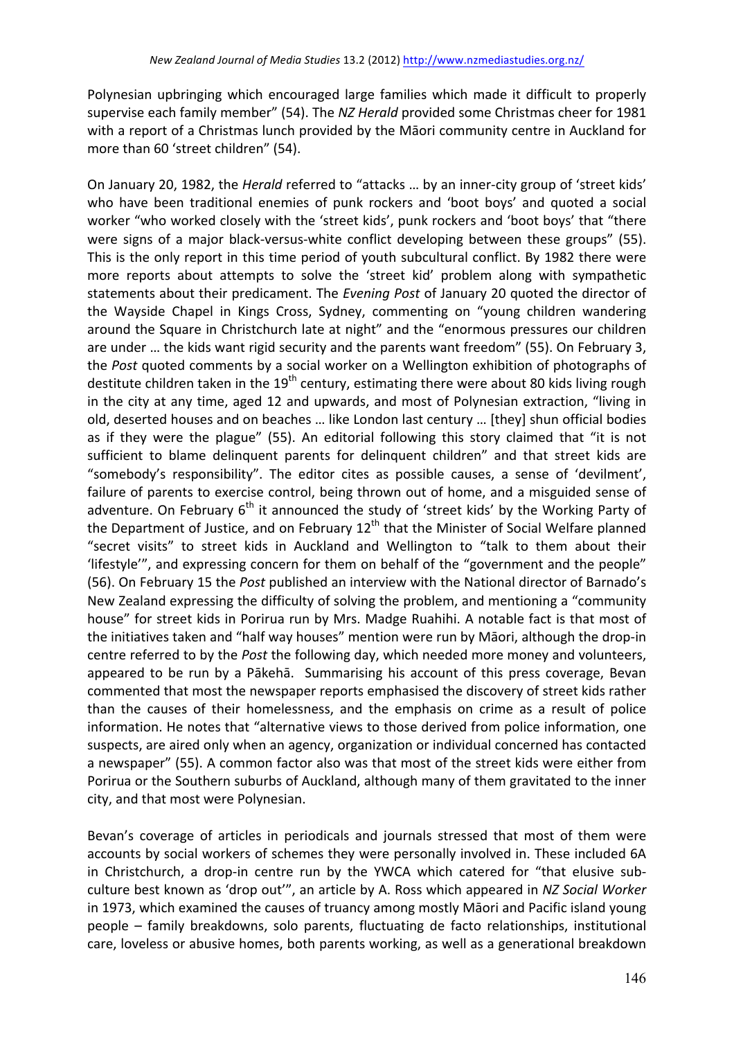Polynesian upbringing which encouraged large families which made it difficult to properly supervise each family member" (54). The *NZ Herald* provided some Christmas cheer for 1981 with a report of a Christmas lunch provided by the Māori community centre in Auckland for more than 60 'street children" (54).

On January 20, 1982, the *Herald* referred to "attacks ... by an inner-city group of 'street kids' who have been traditional enemies of punk rockers and 'boot boys' and quoted a social worker "who worked closely with the 'street kids', punk rockers and 'boot boys' that "there were signs of a major black-versus-white conflict developing between these groups" (55). This is the only report in this time period of youth subcultural conflict. By 1982 there were more reports about attempts to solve the 'street kid' problem along with sympathetic statements about their predicament. The *Evening Post* of January 20 quoted the director of the Wayside Chapel in Kings Cross, Sydney, commenting on "young children wandering around the Square in Christchurch late at night" and the "enormous pressures our children are under ... the kids want rigid security and the parents want freedom" (55). On February 3, the *Post* quoted comments by a social worker on a Wellington exhibition of photographs of destitute children taken in the 19<sup>th</sup> century, estimating there were about 80 kids living rough in the city at any time, aged 12 and upwards, and most of Polynesian extraction, "living in old, deserted houses and on beaches ... like London last century ... [they] shun official bodies as if they were the plague" (55). An editorial following this story claimed that "it is not sufficient to blame delinquent parents for delinquent children" and that street kids are "somebody's responsibility". The editor cites as possible causes, a sense of 'devilment', failure of parents to exercise control, being thrown out of home, and a misguided sense of adventure. On February  $6<sup>th</sup>$  it announced the study of 'street kids' by the Working Party of the Department of Justice, and on February  $12<sup>th</sup>$  that the Minister of Social Welfare planned "secret visits" to street kids in Auckland and Wellington to "talk to them about their 'lifestyle'", and expressing concern for them on behalf of the "government and the people" (56). On February 15 the *Post* published an interview with the National director of Barnado's New Zealand expressing the difficulty of solving the problem, and mentioning a "community house" for street kids in Porirua run by Mrs. Madge Ruahihi. A notable fact is that most of the initiatives taken and "half way houses" mention were run by Māori, although the drop-in centre referred to by the *Post* the following day, which needed more money and volunteers, appeared to be run by a Pākehā. Summarising his account of this press coverage, Bevan commented that most the newspaper reports emphasised the discovery of street kids rather than the causes of their homelessness, and the emphasis on crime as a result of police information. He notes that "alternative views to those derived from police information, one suspects, are aired only when an agency, organization or individual concerned has contacted a newspaper" (55). A common factor also was that most of the street kids were either from Porirua or the Southern suburbs of Auckland, although many of them gravitated to the inner city, and that most were Polynesian.

Bevan's coverage of articles in periodicals and journals stressed that most of them were accounts by social workers of schemes they were personally involved in. These included 6A in Christchurch, a drop-in centre run by the YWCA which catered for "that elusive subculture best known as 'drop out'", an article by A. Ross which appeared in *NZ Social Worker* in 1973, which examined the causes of truancy among mostly Māori and Pacific island young people – family breakdowns, solo parents, fluctuating de facto relationships, institutional care, loveless or abusive homes, both parents working, as well as a generational breakdown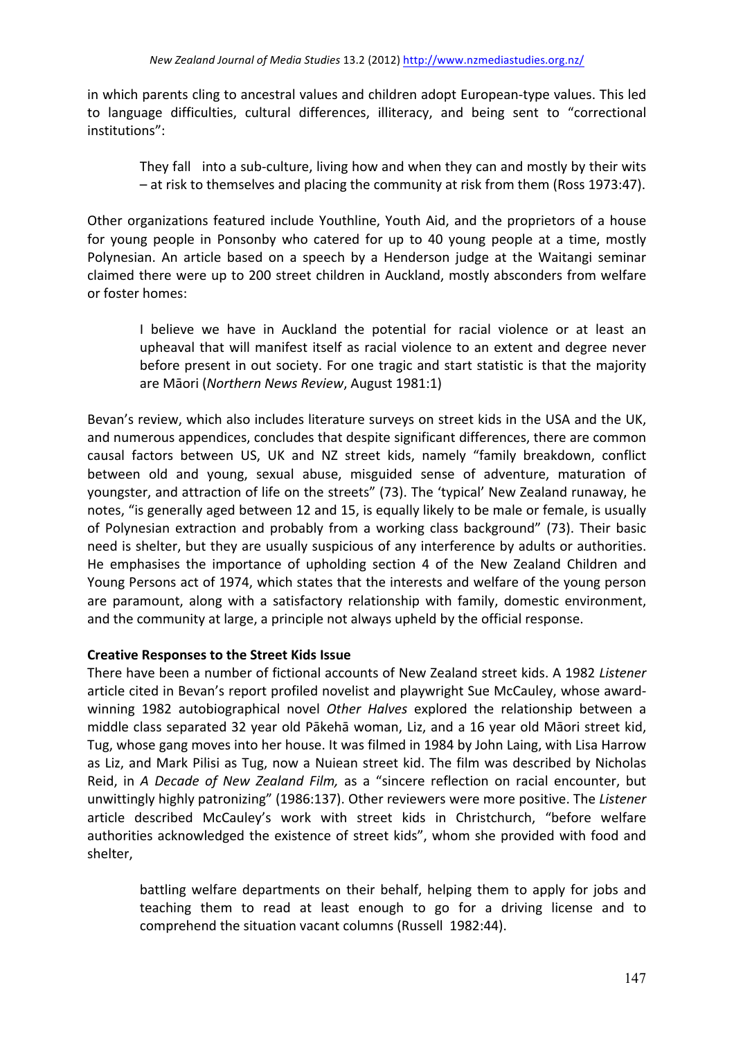in which parents cling to ancestral values and children adopt European-type values. This led to language difficulties, cultural differences, illiteracy, and being sent to "correctional institutions":

They fall into a sub-culture, living how and when they can and mostly by their wits  $-$  at risk to themselves and placing the community at risk from them (Ross 1973:47).

Other organizations featured include Youthline, Youth Aid, and the proprietors of a house for young people in Ponsonby who catered for up to 40 young people at a time, mostly Polynesian. An article based on a speech by a Henderson judge at the Waitangi seminar claimed there were up to 200 street children in Auckland, mostly absconders from welfare or foster homes:

I believe we have in Auckland the potential for racial violence or at least an upheaval that will manifest itself as racial violence to an extent and degree never before present in out society. For one tragic and start statistic is that the majority are Māori (Northern News Review, August 1981:1)

Bevan's review, which also includes literature surveys on street kids in the USA and the UK, and numerous appendices, concludes that despite significant differences, there are common causal factors between US, UK and NZ street kids, namely "family breakdown, conflict between old and young, sexual abuse, misguided sense of adventure, maturation of youngster, and attraction of life on the streets" (73). The 'typical' New Zealand runaway, he notes, "is generally aged between 12 and 15, is equally likely to be male or female, is usually of Polynesian extraction and probably from a working class background" (73). Their basic need is shelter, but they are usually suspicious of any interference by adults or authorities. He emphasises the importance of upholding section 4 of the New Zealand Children and Young Persons act of 1974, which states that the interests and welfare of the young person are paramount, along with a satisfactory relationship with family, domestic environment, and the community at large, a principle not always upheld by the official response.

### **Creative Responses to the Street Kids Issue**

There have been a number of fictional accounts of New Zealand street kids. A 1982 *Listener* article cited in Bevan's report profiled novelist and playwright Sue McCauley, whose awardwinning 1982 autobiographical novel *Other Halves* explored the relationship between a middle class separated 32 year old Pākehā woman, Liz, and a 16 year old Māori street kid, Tug, whose gang moves into her house. It was filmed in 1984 by John Laing, with Lisa Harrow as Liz, and Mark Pilisi as Tug, now a Nuiean street kid. The film was described by Nicholas Reid, in *A Decade of New Zealand Film,* as a "sincere reflection on racial encounter, but unwittingly highly patronizing" (1986:137). Other reviewers were more positive. The Listener article described McCauley's work with street kids in Christchurch, "before welfare authorities acknowledged the existence of street kids", whom she provided with food and shelter, 

battling welfare departments on their behalf, helping them to apply for jobs and teaching them to read at least enough to go for a driving license and to comprehend the situation vacant columns (Russell 1982:44).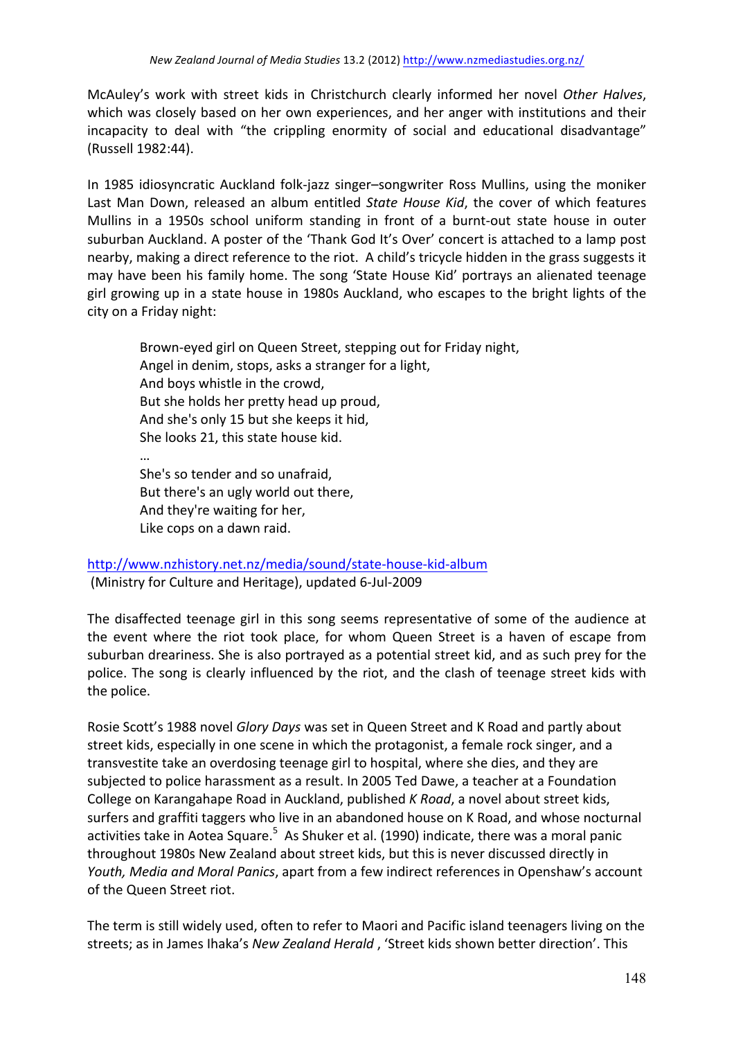McAuley's work with street kids in Christchurch clearly informed her novel Other Halves, which was closely based on her own experiences, and her anger with institutions and their incapacity to deal with "the crippling enormity of social and educational disadvantage" (Russell 1982:44).

In 1985 idiosyncratic Auckland folk-jazz singer–songwriter Ross Mullins, using the moniker Last Man Down, released an album entitled *State House Kid*, the cover of which features Mullins in a 1950s school uniform standing in front of a burnt-out state house in outer suburban Auckland. A poster of the 'Thank God It's Over' concert is attached to a lamp post nearby, making a direct reference to the riot. A child's tricycle hidden in the grass suggests it may have been his family home. The song 'State House Kid' portrays an alienated teenage girl growing up in a state house in 1980s Auckland, who escapes to the bright lights of the city on a Friday night:

Brown-eyed girl on Queen Street, stepping out for Friday night, Angel in denim, stops, asks a stranger for a light, And boys whistle in the crowd, But she holds her pretty head up proud, And she's only 15 but she keeps it hid, She looks 21, this state house kid. … She's so tender and so unafraid, But there's an ugly world out there, And they're waiting for her, Like cops on a dawn raid.

# http://www.nzhistory.net.nz/media/sound/state-house-kid-album (Ministry for Culture and Heritage), updated 6-Jul-2009

The disaffected teenage girl in this song seems representative of some of the audience at the event where the riot took place, for whom Queen Street is a haven of escape from suburban dreariness. She is also portrayed as a potential street kid, and as such prey for the police. The song is clearly influenced by the riot, and the clash of teenage street kids with the police.

Rosie Scott's 1988 novel *Glory Days* was set in Queen Street and K Road and partly about street kids, especially in one scene in which the protagonist, a female rock singer, and a transvestite take an overdosing teenage girl to hospital, where she dies, and they are subjected to police harassment as a result. In 2005 Ted Dawe, a teacher at a Foundation College on Karangahape Road in Auckland, published *K* Road, a novel about street kids, surfers and graffiti taggers who live in an abandoned house on K Road, and whose nocturnal activities take in Aotea Square.<sup>5</sup> As Shuker et al. (1990) indicate, there was a moral panic throughout 1980s New Zealand about street kids, but this is never discussed directly in Youth, Media and Moral Panics, apart from a few indirect references in Openshaw's account of the Queen Street riot.

The term is still widely used, often to refer to Maori and Pacific island teenagers living on the streets; as in James Ihaka's *New Zealand Herald*, 'Street kids shown better direction'. This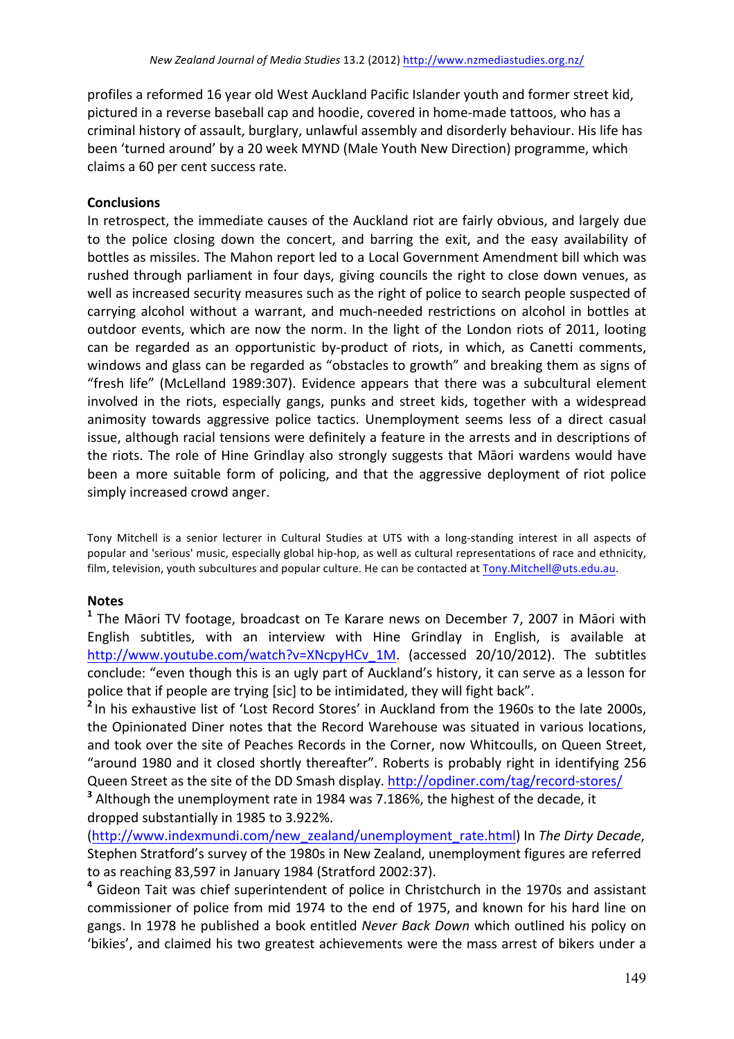profiles a reformed 16 year old West Auckland Pacific Islander youth and former street kid, pictured in a reverse baseball cap and hoodie, covered in home-made tattoos, who has a criminal history of assault, burglary, unlawful assembly and disorderly behaviour. His life has been 'turned around' by a 20 week MYND (Male Youth New Direction) programme, which claims a 60 per cent success rate.

### **Conclusions**

In retrospect, the immediate causes of the Auckland riot are fairly obvious, and largely due to the police closing down the concert, and barring the exit, and the easy availability of bottles as missiles. The Mahon report led to a Local Government Amendment bill which was rushed through parliament in four days, giving councils the right to close down venues, as well as increased security measures such as the right of police to search people suspected of carrying alcohol without a warrant, and much-needed restrictions on alcohol in bottles at outdoor events, which are now the norm. In the light of the London riots of 2011, looting can be regarded as an opportunistic by-product of riots, in which, as Canetti comments, windows and glass can be regarded as "obstacles to growth" and breaking them as signs of "fresh life" (McLelland 1989:307). Evidence appears that there was a subcultural element involved in the riots, especially gangs, punks and street kids, together with a widespread animosity towards aggressive police tactics. Unemployment seems less of a direct casual issue, although racial tensions were definitely a feature in the arrests and in descriptions of the riots. The role of Hine Grindlay also strongly suggests that Māori wardens would have been a more suitable form of policing, and that the aggressive deployment of riot police simply increased crowd anger.

Tony Mitchell is a senior lecturer in Cultural Studies at UTS with a long-standing interest in all aspects of popular and 'serious' music, especially global hip-hop, as well as cultural representations of race and ethnicity, film, television, youth subcultures and popular culture. He can be contacted at Tony.Mitchell@uts.edu.au.

### **Notes**

<sup>1</sup> The Māori TV footage, broadcast on Te Karare news on December 7, 2007 in Māori with English subtitles, with an interview with Hine Grindlay in English, is available at http://www.youtube.com/watch?v=XNcpyHCv\_1M. (accessed 20/10/2012). The subtitles conclude: "even though this is an ugly part of Auckland's history, it can serve as a lesson for police that if people are trying [sic] to be intimidated, they will fight back".

<sup>2</sup> In his exhaustive list of 'Lost Record Stores' in Auckland from the 1960s to the late 2000s, the Opinionated Diner notes that the Record Warehouse was situated in various locations, and took over the site of Peaches Records in the Corner, now Whitcoulls, on Queen Street, "around 1980 and it closed shortly thereafter". Roberts is probably right in identifying 256 Queen Street as the site of the DD Smash display. http://opdiner.com/tag/record-stores/ <sup>3</sup> Although the unemployment rate in 1984 was 7.186%, the highest of the decade, it dropped substantially in 1985 to 3.922%.

(http://www.indexmundi.com/new\_zealand/unemployment\_rate.html) In *The Dirty Decade*, Stephen Stratford's survey of the 1980s in New Zealand, unemployment figures are referred to as reaching 83,597 in January 1984 (Stratford 2002:37).

<sup>4</sup> Gideon Tait was chief superintendent of police in Christchurch in the 1970s and assistant commissioner of police from mid 1974 to the end of 1975, and known for his hard line on gangs. In 1978 he published a book entitled *Never Back Down* which outlined his policy on 'bikies', and claimed his two greatest achievements were the mass arrest of bikers under a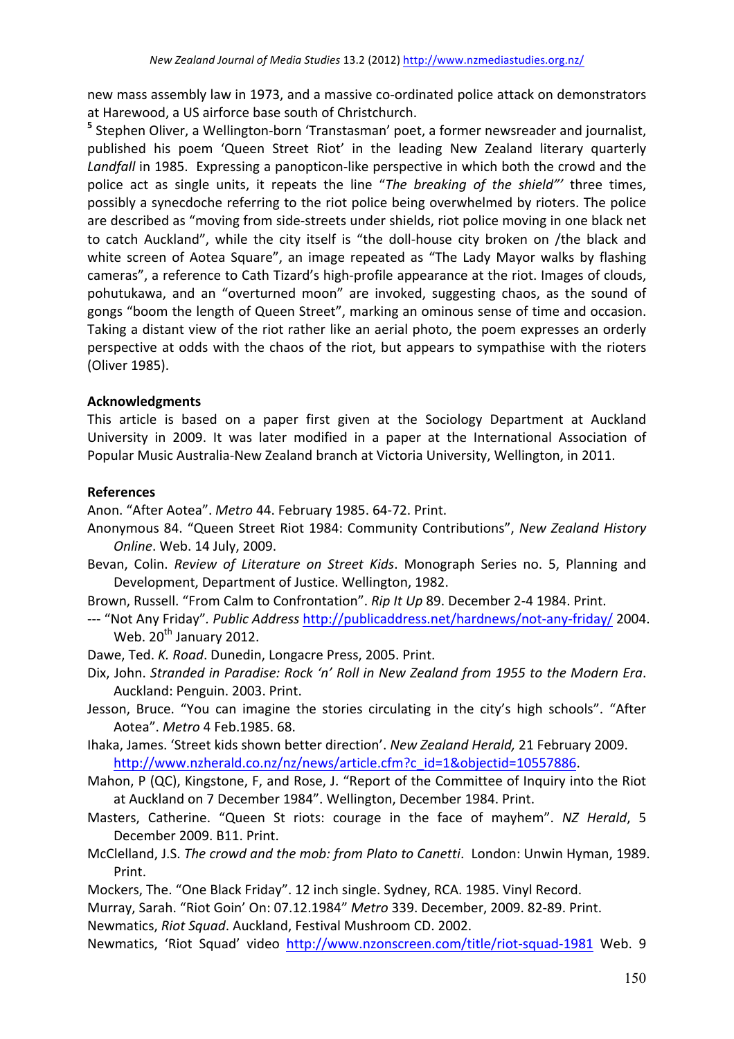new mass assembly law in 1973, and a massive co-ordinated police attack on demonstrators at Harewood, a US airforce base south of Christchurch.

<sup>5</sup> Stephen Oliver, a Wellington-born 'Transtasman' poet, a former newsreader and journalist, published his poem 'Queen Street Riot' in the leading New Zealand literary quarterly Landfall in 1985. Expressing a panopticon-like perspective in which both the crowd and the police act as single units, it repeats the line "*The breaking of the shield"* three times, possibly a synecdoche referring to the riot police being overwhelmed by rioters. The police are described as "moving from side-streets under shields, riot police moving in one black net to catch Auckland", while the city itself is "the doll-house city broken on /the black and white screen of Aotea Square", an image repeated as "The Lady Mayor walks by flashing cameras", a reference to Cath Tizard's high-profile appearance at the riot. Images of clouds, pohutukawa, and an "overturned moon" are invoked, suggesting chaos, as the sound of gongs "boom the length of Queen Street", marking an ominous sense of time and occasion. Taking a distant view of the riot rather like an aerial photo, the poem expresses an orderly perspective at odds with the chaos of the riot, but appears to sympathise with the rioters (Oliver 1985).

#### **Acknowledgments**

This article is based on a paper first given at the Sociology Department at Auckland University in 2009. It was later modified in a paper at the International Association of Popular Music Australia-New Zealand branch at Victoria University, Wellington, in 2011.

#### **References**

Anon. "After Aotea". Metro 44. February 1985. 64-72. Print.

- Anonymous 84. "Queen Street Riot 1984: Community Contributions", *New Zealand History Online. Web. 14 July, 2009.*
- Bevan, Colin. *Review of Literature on Street Kids*. Monograph Series no. 5, Planning and Development, Department of Justice. Wellington, 1982.
- Brown, Russell. "From Calm to Confrontation". Rip It Up 89. December 2-4 1984. Print.
- --- "Not Any Friday". Public Address http://publicaddress.net/hardnews/not-any-friday/ 2004. Web.  $20^{th}$  January 2012.
- Dawe, Ted. *K. Road*. Dunedin, Longacre Press, 2005. Print.
- Dix, John. Stranded in Paradise: Rock 'n' Roll in New Zealand from 1955 to the Modern Era. Auckland: Penguin. 2003. Print.
- Jesson, Bruce. "You can imagine the stories circulating in the city's high schools". "After Aotea". *Metro* 4 Feb.1985. 68.
- Ihaka, James. 'Street kids shown better direction'. New Zealand Herald, 21 February 2009. http://www.nzherald.co.nz/nz/news/article.cfm?c\_id=1&objectid=10557886.
- Mahon, P (QC), Kingstone, F, and Rose, J. "Report of the Committee of Inquiry into the Riot at Auckland on 7 December 1984". Wellington, December 1984. Print.
- Masters, Catherine. "Queen St riots: courage in the face of mayhem". NZ Herald, 5 December 2009. B11. Print.
- McClelland, J.S. *The crowd and the mob: from Plato to Canetti*. London: Unwin Hyman, 1989. Print.
- Mockers, The. "One Black Friday". 12 inch single. Sydney, RCA. 1985. Vinyl Record.
- Murray, Sarah. "Riot Goin' On: 07.12.1984" Metro 339. December, 2009. 82-89. Print.

Newmatics, *Riot Squad*. Auckland, Festival Mushroom CD. 2002.

Newmatics, 'Riot Squad' video http://www.nzonscreen.com/title/riot-squad-1981 Web. 9